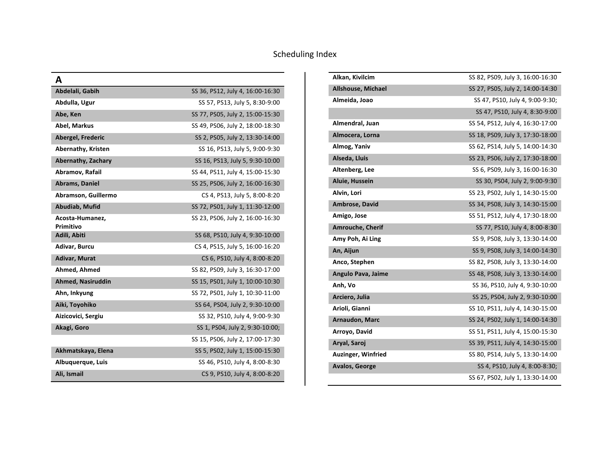| A                            |                                  |
|------------------------------|----------------------------------|
| Abdelali, Gabih              | SS 36, PS12, July 4, 16:00-16:30 |
| Abdulla, Ugur                | SS 57, PS13, July 5, 8:30-9:00   |
| Abe, Ken                     | SS 77, PS05, July 2, 15:00-15:30 |
| Abel, Markus                 | SS 49, PS06, July 2, 18:00-18:30 |
| Abergel, Frederic            | SS 2, PS05, July 2, 13:30-14:00  |
| Abernathy, Kristen           | SS 16, PS13, July 5, 9:00-9:30   |
| Abernathy, Zachary           | SS 16, PS13, July 5, 9:30-10:00  |
| Abramov, Rafail              | SS 44, PS11, July 4, 15:00-15:30 |
| Abrams, Daniel               | SS 25, PS06, July 2, 16:00-16:30 |
| Abramson, Guillermo          | CS 4, PS13, July 5, 8:00-8:20    |
| Abudiab, Mufid               | SS 72, PS01, July 1, 11:30-12:00 |
| Acosta-Humanez,<br>Primitivo | SS 23, PS06, July 2, 16:00-16:30 |
| Adili, Abiti                 | SS 68, PS10, July 4, 9:30-10:00  |
| Adivar, Burcu                | CS 4, PS15, July 5, 16:00-16:20  |
| Adivar, Murat                | CS 6, PS10, July 4, 8:00-8:20    |
| Ahmed, Ahmed                 | SS 82, PS09, July 3, 16:30-17:00 |
| <b>Ahmed, Nasiruddin</b>     | SS 15, PS01, July 1, 10:00-10:30 |
| Ahn, Inkyung                 | SS 72, PS01, July 1, 10:30-11:00 |
| Aiki, Toyohiko               | SS 64, PS04, July 2, 9:30-10:00  |
| Aizicovici, Sergiu           | SS 32, PS10, July 4, 9:00-9:30   |
| Akagi, Goro                  | SS 1, PS04, July 2, 9:30-10:00;  |
|                              | SS 15, PS06, July 2, 17:00-17:30 |
| Akhmatskaya, Elena           | SS 5, PS02, July 1, 15:00-15:30  |
| Albuquerque, Luis            | SS 46, PS10, July 4, 8:00-8:30   |
| Ali, Ismail                  | CS 9, PS10, July 4, 8:00-8:20    |

| Alkan, Kivilcim           | SS 82, PS09, July 3, 16:00-16:30 |
|---------------------------|----------------------------------|
| Allshouse, Michael        | SS 27, PS05, July 2, 14:00-14:30 |
| Almeida, Joao             | SS 47, PS10, July 4, 9:00-9:30;  |
|                           | SS 47, PS10, July 4, 8:30-9:00   |
| Almendral, Juan           | SS 54, PS12, July 4, 16:30-17:00 |
| Almocera, Lorna           | SS 18, PS09, July 3, 17:30-18:00 |
| Almog, Yaniv              | SS 62, PS14, July 5, 14:00-14:30 |
| Alseda, Lluis             | SS 23, PS06, July 2, 17:30-18:00 |
| Altenberg, Lee            | SS 6, PS09, July 3, 16:00-16:30  |
| Aluie, Hussein            | SS 30, PS04, July 2, 9:00-9:30   |
| Alvin, Lori               | SS 23, PS02, July 1, 14:30-15:00 |
| Ambrose, David            | SS 34, PS08, July 3, 14:30-15:00 |
| Amigo, Jose               | SS 51, PS12, July 4, 17:30-18:00 |
| <b>Amrouche, Cherif</b>   | SS 77, PS10, July 4, 8:00-8:30   |
| Amy Poh, Ai Ling          | SS 9, PS08, July 3, 13:30-14:00  |
| An, Aijun                 | SS 9, PS08, July 3, 14:00-14:30  |
| Anco, Stephen             | SS 82, PS08, July 3, 13:30-14:00 |
| Angulo Pava, Jaime        | SS 48, PS08, July 3, 13:30-14:00 |
| Anh, Vo                   | SS 36, PS10, July 4, 9:30-10:00  |
| Arciero, Julia            | SS 25, PS04, July 2, 9:30-10:00  |
| Arioli, Gianni            | SS 10, PS11, July 4, 14:30-15:00 |
| Arnaudon, Marc            | SS 24, PS02, July 1, 14:00-14:30 |
| Arroyo, David             | SS 51, PS11, July 4, 15:00-15:30 |
| Aryal, Saroj              | SS 39, PS11, July 4, 14:30-15:00 |
| <b>Auzinger, Winfried</b> | SS 80, PS14, July 5, 13:30-14:00 |
| <b>Avalos, George</b>     | SS 4, PS10, July 4, 8:00-8:30;   |
|                           | SS 67, PS02, July 1, 13:30-14:00 |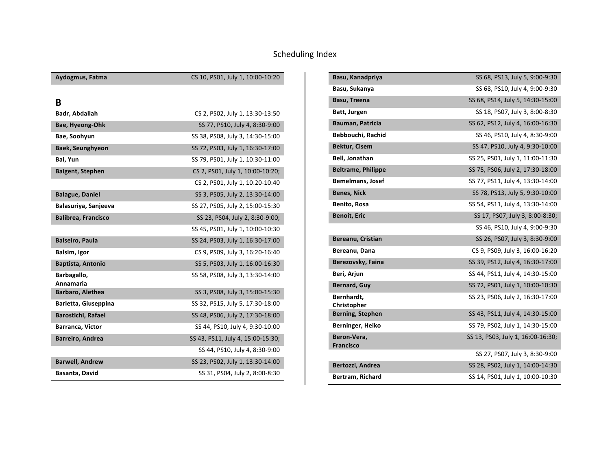| Aydogmus, Fatma            | CS 10, PS01, July 1, 10:00-10:20  |
|----------------------------|-----------------------------------|
|                            |                                   |
| B                          |                                   |
| Badr, Abdallah             | CS 2, PS02, July 1, 13:30-13:50   |
| Bae, Hyeong-Ohk            | SS 77, PS10, July 4, 8:30-9:00    |
| Bae, Soohyun               | SS 38, PS08, July 3, 14:30-15:00  |
| Baek, Seunghyeon           | SS 72, PS03, July 1, 16:30-17:00  |
| Bai, Yun                   | SS 79, PS01, July 1, 10:30-11:00  |
| <b>Baigent, Stephen</b>    | CS 2, PS01, July 1, 10:00-10:20;  |
|                            | CS 2, PS01, July 1, 10:20-10:40   |
| <b>Balague, Daniel</b>     | SS 3, PS05, July 2, 13:30-14:00   |
| Balasuriya, Sanjeeva       | SS 27, PS05, July 2, 15:00-15:30  |
| <b>Balibrea, Francisco</b> | SS 23, PS04, July 2, 8:30-9:00;   |
|                            | SS 45, PS01, July 1, 10:00-10:30  |
| <b>Balseiro, Paula</b>     | SS 24, PS03, July 1, 16:30-17:00  |
| Balsim, Igor               | CS 9, PS09, July 3, 16:20-16:40   |
| <b>Baptista, Antonio</b>   | SS 5, PS03, July 1, 16:00-16:30   |
| Barbagallo,<br>Annamaria   | SS 58, PS08, July 3, 13:30-14:00  |
| Barbaro, Alethea           | SS 3, PS08, July 3, 15:00-15:30   |
| Barletta, Giuseppina       | SS 32, PS15, July 5, 17:30-18:00  |
| <b>Barostichi, Rafael</b>  | SS 48, PS06, July 2, 17:30-18:00  |
| Barranca, Victor           | SS 44, PS10, July 4, 9:30-10:00   |
| Barreiro, Andrea           | SS 43, PS11, July 4, 15:00-15:30; |
|                            | SS 44, PS10, July 4, 8:30-9:00    |
| <b>Barwell, Andrew</b>     | SS 23, PS02, July 1, 13:30-14:00  |
| Basanta, David             | SS 31, PS04, July 2, 8:00-8:30    |

| Basu, Kanadpriya                | SS 68, PS13, July 5, 9:00-9:30    |
|---------------------------------|-----------------------------------|
| Basu, Sukanya                   | SS 68, PS10, July 4, 9:00-9:30    |
| Basu, Treena                    | SS 68, PS14, July 5, 14:30-15:00  |
| Batt, Jurgen                    | SS 18, PS07, July 3, 8:00-8:30    |
| Bauman, Patricia                | SS 62, PS12, July 4, 16:00-16:30  |
| Bebbouchi, Rachid               | SS 46, PS10, July 4, 8:30-9:00    |
| <b>Bektur, Cisem</b>            | SS 47, PS10, July 4, 9:30-10:00   |
| Bell, Jonathan                  | SS 25, PS01, July 1, 11:00-11:30  |
| <b>Beltrame, Philippe</b>       | SS 75, PS06, July 2, 17:30-18:00  |
| <b>Bemelmans, Josef</b>         | SS 77, PS11, July 4, 13:30-14:00  |
| <b>Benes, Nick</b>              | SS 78, PS13, July 5, 9:30-10:00   |
| Benito, Rosa                    | SS 54, PS11, July 4, 13:30-14:00  |
| <b>Benoit, Eric</b>             | SS 17, PS07, July 3, 8:00-8:30;   |
|                                 | SS 46, PS10, July 4, 9:00-9:30    |
| Bereanu, Cristian               | SS 26, PS07, July 3, 8:30-9:00    |
| Bereanu, Dana                   | CS 9, PS09, July 3, 16:00-16:20   |
| Berezovsky, Faina               | SS 39, PS12, July 4, 16:30-17:00  |
| Beri, Arjun                     | SS 44, PS11, July 4, 14:30-15:00  |
| Bernard, Guy                    | SS 72, PS01, July 1, 10:00-10:30  |
| Bernhardt,<br>Christopher       | SS 23, PS06, July 2, 16:30-17:00  |
| <b>Berning, Stephen</b>         | SS 43, PS11, July 4, 14:30-15:00  |
| Berninger, Heiko                | SS 79, PS02, July 1, 14:30-15:00  |
| Beron-Vera,<br><b>Francisco</b> | SS 13, PS03, July 1, 16:00-16:30; |
|                                 | SS 27, PS07, July 3, 8:30-9:00    |
| Bertozzi, Andrea                | SS 28, PS02, July 1, 14:00-14:30  |
| Bertram, Richard                | SS 14, PS01, July 1, 10:00-10:30  |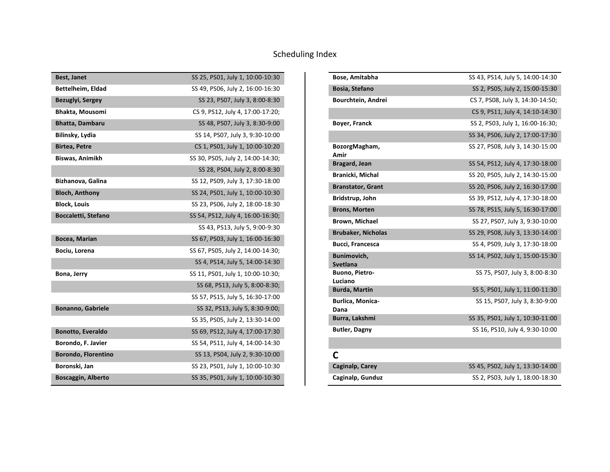| <b>Best, Janet</b>         | SS 25, PS01, July 1, 10:00-10:30  |
|----------------------------|-----------------------------------|
| Bettelheim, Eldad          | SS 49, PS06, July 2, 16:00-16:30  |
| Bezuglyi, Sergey           | SS 23, PS07, July 3, 8:00-8:30    |
| Bhakta, Mousomi            | CS 9, PS12, July 4, 17:00-17:20;  |
| Bhatta, Dambaru            | SS 48, PS07, July 3, 8:30-9:00    |
| Bilinsky, Lydia            | SS 14, PS07, July 3, 9:30-10:00   |
| <b>Birtea, Petre</b>       | CS 1, PS01, July 1, 10:00-10:20   |
| Biswas, Animikh            | SS 30, PS05, July 2, 14:00-14:30; |
|                            | SS 28, PS04, July 2, 8:00-8:30    |
| Bizhanova, Galina          | SS 12, PS09, July 3, 17:30-18:00  |
| <b>Bloch, Anthony</b>      | SS 24, PS01, July 1, 10:00-10:30  |
| <b>Block, Louis</b>        | SS 23, PS06, July 2, 18:00-18:30  |
| <b>Boccaletti, Stefano</b> | SS 54, PS12, July 4, 16:00-16:30; |
|                            | SS 43, PS13, July 5, 9:00-9:30    |
| Bocea, Marian              | SS 67, PS03, July 1, 16:00-16:30  |
| Bociu, Lorena              | SS 67, PS05, July 2, 14:00-14:30; |
|                            | SS 4, PS14, July 5, 14:00-14:30   |
| Bona, Jerry                | SS 11, PS01, July 1, 10:00-10:30; |
|                            | SS 68, PS13, July 5, 8:00-8:30;   |
|                            | SS 57, PS15, July 5, 16:30-17:00  |
| <b>Bonanno, Gabriele</b>   | SS 32, PS13, July 5, 8:30-9:00;   |
|                            | SS 35, PS05, July 2, 13:30-14:00  |
| <b>Bonotto, Everaldo</b>   | SS 69, PS12, July 4, 17:00-17:30  |
| Borondo, F. Javier         | SS 54, PS11, July 4, 14:00-14:30  |
| <b>Borondo, Florentino</b> | SS 13, PS04, July 2, 9:30-10:00   |
| Boronski, Jan              | SS 23, PS01, July 1, 10:00-10:30  |
| <b>Boscaggin, Alberto</b>  | SS 35, PS01, July 1, 10:00-10:30  |

| Bose, Amitabha                  | SS 43, PS14, July 5, 14:00-14:30 |
|---------------------------------|----------------------------------|
| Bosia, Stefano                  | SS 2, PS05, July 2, 15:00-15:30  |
| Bourchtein, Andrei              | CS 7, PS08, July 3, 14:30-14:50; |
|                                 | CS 9, PS11, July 4, 14:10-14:30  |
| Boyer, Franck                   | SS 2, PS03, July 1, 16:00-16:30; |
|                                 | SS 34, PS06, July 2, 17:00-17:30 |
| BozorgMagham,<br>Amir           | SS 27, PS08, July 3, 14:30-15:00 |
| <b>Bragard, Jean</b>            | SS 54, PS12, July 4, 17:30-18:00 |
| Branicki, Michal                | SS 20, PS05, July 2, 14:30-15:00 |
| <b>Branstator, Grant</b>        | SS 20, PS06, July 2, 16:30-17:00 |
| Bridstrup, John                 | SS 39, PS12, July 4, 17:30-18:00 |
| <b>Brons, Morten</b>            | SS 78, PS15, July 5, 16:30-17:00 |
| Brown, Michael                  | SS 27, PS07, July 3, 9:30-10:00  |
| <b>Brubaker, Nicholas</b>       | SS 29, PS08, July 3, 13:30-14:00 |
| <b>Bucci, Francesca</b>         | SS 4, PS09, July 3, 17:30-18:00  |
| Bunimovich,<br>Svetlana         | SS 14, PS02, July 1, 15:00-15:30 |
| Buono, Pietro-<br>Luciano       | SS 75, PS07, July 3, 8:00-8:30   |
| <b>Burda, Martin</b>            | SS 5, PS01, July 1, 11:00-11:30  |
| <b>Burlica, Monica-</b><br>Dana | SS 15, PS07, July 3, 8:30-9:00   |
| Burra, Lakshmi                  | SS 35, PS01, July 1, 10:30-11:00 |
| <b>Butler, Dagny</b>            | SS 16, PS10, July 4, 9:30-10:00  |
|                                 |                                  |
| C                               |                                  |
| Caginalp, Carey                 | SS 45, PS02, July 1, 13:30-14:00 |
| Caginalp, Gunduz                | SS 2, PS03, July 1, 18:00-18:30  |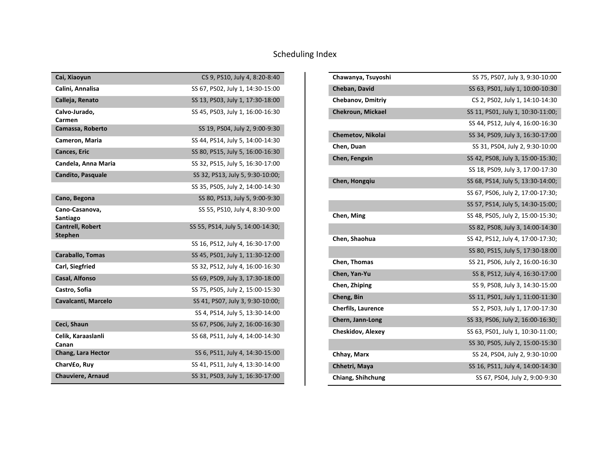| Cai, Xiaoyun                              | CS 9, PS10, July 4, 8:20-8:40     |
|-------------------------------------------|-----------------------------------|
| Calini, Annalisa                          | SS 67, PS02, July 1, 14:30-15:00  |
| Calleja, Renato                           | SS 13, PS03, July 1, 17:30-18:00  |
| Calvo-Jurado,<br>Carmen                   | SS 45, PS03, July 1, 16:00-16:30  |
| Camassa, Roberto                          | SS 19, PS04, July 2, 9:00-9:30    |
| Cameron, Maria                            | SS 44, PS14, July 5, 14:00-14:30  |
| Cances, Eric                              | SS 80, PS15, July 5, 16:00-16:30  |
| Candela, Anna Maria                       | SS 32, PS15, July 5, 16:30-17:00  |
| <b>Candito, Pasquale</b>                  | SS 32, PS13, July 5, 9:30-10:00;  |
|                                           | SS 35, PS05, July 2, 14:00-14:30  |
| Cano, Begona                              | SS 80, PS13, July 5, 9:00-9:30    |
| Cano-Casanova,<br>Santiago                | SS 55, PS10, July 4, 8:30-9:00    |
| <b>Cantrell, Robert</b><br><b>Stephen</b> | SS 55, PS14, July 5, 14:00-14:30; |
|                                           | SS 16, PS12, July 4, 16:30-17:00  |
| <b>Caraballo, Tomas</b>                   | SS 45, PS01, July 1, 11:30-12:00  |
| Carl, Siegfried                           | SS 32, PS12, July 4, 16:00-16:30  |
| Casal, Alfonso                            | SS 69, PS09, July 3, 17:30-18:00  |
| Castro, Sofia                             | SS 75, PS05, July 2, 15:00-15:30  |
| Cavalcanti, Marcelo                       | SS 41, PS07, July 3, 9:30-10:00;  |
|                                           | SS 4, PS14, July 5, 13:30-14:00   |
| Ceci, Shaun                               | SS 67, PS06, July 2, 16:00-16:30  |
| Celik, Karaaslanli<br>Canan               | SS 68, PS11, July 4, 14:00-14:30  |
| Chang, Lara Hector                        | SS 6, PS11, July 4, 14:30-15:00   |
| CharV£o, Ruy                              | SS 41, PS11, July 4, 13:30-14:00  |
| <b>Chauviere, Arnaud</b>                  | SS 31, PS03, July 1, 16:30-17:00  |

| Chawanya, Tsuyoshi        | SS 75, PS07, July 3, 9:30-10:00   |
|---------------------------|-----------------------------------|
| Cheban, David             | SS 63, PS01, July 1, 10:00-10:30  |
| <b>Chebanov, Dmitriy</b>  | CS 2, PS02, July 1, 14:10-14:30   |
| <b>Chekroun, Mickael</b>  | SS 11, PS01, July 1, 10:30-11:00; |
|                           | SS 44, PS12, July 4, 16:00-16:30  |
| Chemetov, Nikolai         | SS 34, PS09, July 3, 16:30-17:00  |
| Chen, Duan                | SS 31, PS04, July 2, 9:30-10:00   |
| Chen, Fengxin             | SS 42, PS08, July 3, 15:00-15:30; |
|                           | SS 18, PS09, July 3, 17:00-17:30  |
| Chen, Hongqiu             | SS 68, PS14, July 5, 13:30-14:00; |
|                           | SS 67, PS06, July 2, 17:00-17:30; |
|                           | SS 57, PS14, July 5, 14:30-15:00; |
| Chen, Ming                | SS 48, PS05, July 2, 15:00-15:30; |
|                           | SS 82, PS08, July 3, 14:00-14:30  |
| Chen, Shaohua             | SS 42, PS12, July 4, 17:00-17:30; |
|                           | SS 80, PS15, July 5, 17:30-18:00  |
| Chen, Thomas              | SS 21, PS06, July 2, 16:00-16:30  |
| Chen, Yan-Yu              | SS 8, PS12, July 4, 16:30-17:00   |
| Chen, Zhiping             | SS 9, PS08, July 3, 14:30-15:00   |
| Cheng, Bin                | SS 11, PS01, July 1, 11:00-11:30  |
| <b>Cherfils, Laurence</b> | SS 2, PS03, July 1, 17:00-17:30   |
| Chern, Jann-Long          | SS 33, PS06, July 2, 16:00-16:30; |
| <b>Cheskidov, Alexey</b>  | SS 63, PS01, July 1, 10:30-11:00; |
|                           | SS 30, PS05, July 2, 15:00-15:30  |
| Chhay, Marx               | SS 24, PS04, July 2, 9:30-10:00   |
| Chhetri, Maya             | SS 16, PS11, July 4, 14:00-14:30  |
| Chiang, Shihchung         | SS 67, PS04, July 2, 9:00-9:30    |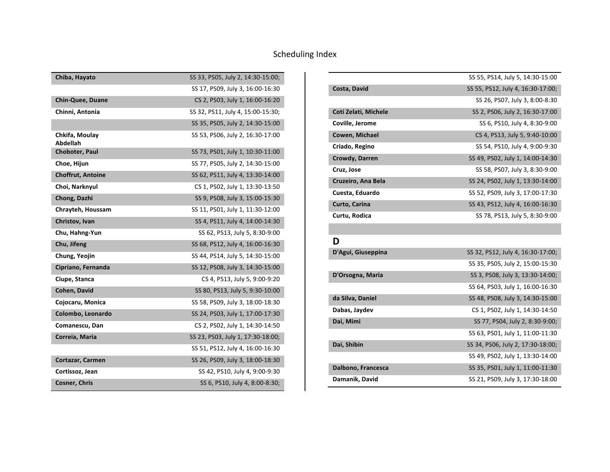| Chiba, Hayato              | SS 33, PS05, July 2, 14:30-15:00; |
|----------------------------|-----------------------------------|
|                            | SS 17, PS09, July 3, 16:00-16:30  |
| <b>Chin-Quee, Duane</b>    | CS 2, PS03, July 1, 16:00-16:20   |
| Chinni, Antonia            | SS 32, PS11, July 4, 15:00-15:30; |
|                            | SS 35, PS05, July 2, 14:30-15:00  |
| Chkifa, Moulay<br>Abdellah | SS 53, PS06, July 2, 16:30-17:00  |
| Choboter, Paul             | SS 73, PS01, July 1, 10:30-11:00  |
| Choe, Hijun                | SS 77, PS05, July 2, 14:30-15:00  |
| <b>Choffrut, Antoine</b>   | SS 62, PS11, July 4, 13:30-14:00  |
| Choi, Narknyul             | CS 1, PS02, July 1, 13:30-13:50   |
| Chong, Dazhi               | SS 9, PS08, July 3, 15:00-15:30   |
| Chrayteh, Houssam          | SS 11, PS01, July 1, 11:30-12:00  |
| Christov, Ivan             | SS 4, PS11, July 4, 14:00-14:30   |
| Chu, Hahng-Yun             | SS 62, PS13, July 5, 8:30-9:00    |
| Chu, Jifeng                | SS 68, PS12, July 4, 16:00-16:30  |
| Chung, Yeojin              | SS 44, PS14, July 5, 14:30-15:00  |
| Cipriano, Fernanda         | SS 12, PS08, July 3, 14:30-15:00  |
| Ciupe, Stanca              | CS 4, PS13, July 5, 9:00-9:20     |
| Cohen, David               | SS 80, PS13, July 5, 9:30-10:00   |
| Cojocaru, Monica           | SS 58, PS09, July 3, 18:00-18:30  |
| Colombo, Leonardo          | SS 24, PS03, July 1, 17:00-17:30  |
| Comanescu, Dan             | CS 2, PS02, July 1, 14:30-14:50   |
| Correia, Maria             | SS 23, PS03, July 1, 17:30-18:00; |
|                            | SS 51, PS12, July 4, 16:00-16:30  |
| Cortazar, Carmen           | SS 26, PS09, July 3, 18:00-18:30  |
| Cortissoz, Jean            | SS 42, PS10, July 4, 9:00-9:30    |
| <b>Cosner, Chris</b>       | SS 6, PS10, July 4, 8:00-8:30;    |

|                             | SS 55, PS14, July 5, 14:30-15:00  |
|-----------------------------|-----------------------------------|
| Costa, David                | SS 55, PS12, July 4, 16:30-17:00; |
|                             | SS 26, PS07, July 3, 8:00-8:30    |
| <b>Coti Zelati, Michele</b> | SS 2, PS06, July 2, 16:30-17:00   |
| Coville, Jerome             | SS 6, PS10, July 4, 8:30-9:00     |
| Cowen, Michael              | CS 4, PS13, July 5, 9:40-10:00    |
| Criado, Regino              | SS 54, PS10, July 4, 9:00-9:30    |
| Crowdy, Darren              | SS 49, PS02, July 1, 14:00-14:30  |
| Cruz, Jose                  | SS 58, PS07, July 3, 8:30-9:00    |
| Cruzeiro, Ana Bela          | SS 24, PS02, July 1, 13:30-14:00  |
| Cuesta, Eduardo             | SS 52, PS09, July 3, 17:00-17:30  |
| Curto, Carina               | SS 43, PS12, July 4, 16:00-16:30  |
| Curtu, Rodica               | SS 78, PS13, July 5, 8:30-9:00    |

#### **D**

| D'Agui, Giuseppina | SS 32, PS12, July 4, 16:30-17:00; |
|--------------------|-----------------------------------|
|                    | SS 35, PS05, July 2, 15:00-15:30  |
| D'Orsogna, Maria   | SS 3, PS08, July 3, 13:30-14:00;  |
|                    | SS 64, PS03, July 1, 16:00-16:30  |
| da Silva, Daniel   | SS 48, PS08, July 3, 14:30-15:00  |
| Dabas, Jaydev      | CS 1, PS02, July 1, 14:30-14:50   |
| Dai, Mimi          | SS 77, PS04, July 2, 8:30-9:00;   |
|                    | SS 63, PS01, July 1, 11:00-11:30  |
| Dai, Shibin        | SS 34, PS06, July 2, 17:30-18:00; |
|                    | SS 49, PS02, July 1, 13:30-14:00  |
| Dalbono, Francesca | SS 35, PS01, July 1, 11:00-11:30  |
| Damanik, David     | SS 21, PS09, July 3, 17:30-18:00  |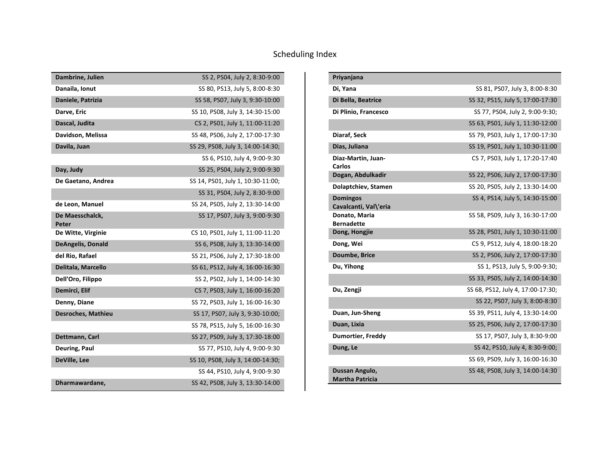| Dambrine, Julien          | SS 2, PS04, July 2, 8:30-9:00     |
|---------------------------|-----------------------------------|
| Danaila, Ionut            | SS 80, PS13, July 5, 8:00-8:30    |
| Daniele, Patrizia         | SS 58, PS07, July 3, 9:30-10:00   |
| Darve, Eric               | SS 10, PS08, July 3, 14:30-15:00  |
| Dascal, Judita            | CS 2, PS01, July 1, 11:00-11:20   |
| Davidson, Melissa         | SS 48, PS06, July 2, 17:00-17:30  |
| Davila, Juan              | SS 29, PS08, July 3, 14:00-14:30; |
|                           | SS 6, PS10, July 4, 9:00-9:30     |
| Day, Judy                 | SS 25, PS04, July 2, 9:00-9:30    |
| De Gaetano, Andrea        | SS 14, PS01, July 1, 10:30-11:00; |
|                           | SS 31, PS04, July 2, 8:30-9:00    |
| de Leon, Manuel           | SS 24, PS05, July 2, 13:30-14:00  |
| De Maesschalck,<br>Peter  | SS 17, PS07, July 3, 9:00-9:30    |
| De Witte, Virginie        | CS 10, PS01, July 1, 11:00-11:20  |
| <b>DeAngelis, Donald</b>  | SS 6, PS08, July 3, 13:30-14:00   |
| del Rio, Rafael           | SS 21, PS06, July 2, 17:30-18:00  |
| Delitala, Marcello        | SS 61, PS12, July 4, 16:00-16:30  |
| Dell'Oro, Filippo         | SS 2, PS02, July 1, 14:00-14:30   |
| Demirci, Elif             | CS 7, PS03, July 1, 16:00-16:20   |
| Denny, Diane              | SS 72, PS03, July 1, 16:00-16:30  |
| <b>Desroches, Mathieu</b> | SS 17, PS07, July 3, 9:30-10:00;  |
|                           | SS 78, PS15, July 5, 16:00-16:30  |
| Dettmann, Carl            | SS 27, PS09, July 3, 17:30-18:00  |
| Deuring, Paul             | SS 77, PS10, July 4, 9:00-9:30    |
| DeVille, Lee              | SS 10, PS08, July 3, 14:00-14:30; |
|                           | SS 44, PS10, July 4, 9:00-9:30    |
| Dharmawardane,            | SS 42, PS08, July 3, 13:30-14:00  |

| Priyanjana                               |                                   |
|------------------------------------------|-----------------------------------|
| Di, Yana                                 | SS 81, PS07, July 3, 8:00-8:30    |
| Di Bella, Beatrice                       | SS 32, PS15, July 5, 17:00-17:30  |
| Di Plinio, Francesco                     | SS 77, PS04, July 2, 9:00-9:30;   |
|                                          | SS 63, PS01, July 1, 11:30-12:00  |
| Diaraf, Seck                             | SS 79, PS03, July 1, 17:00-17:30  |
| Dias, Juliana                            | SS 19, PS01, July 1, 10:30-11:00  |
| Diaz-Martin, Juan-<br>Carlos             | CS 7, PS03, July 1, 17:20-17:40   |
| Dogan, Abdulkadir                        | SS 22, PS06, July 2, 17:00-17:30  |
| Dolaptchiev, Stamen                      | SS 20, PS05, July 2, 13:30-14:00  |
| <b>Domingos</b><br>Cavalcanti, Val\'eria | SS 4, PS14, July 5, 14:30-15:00   |
| Donato, Maria<br><b>Bernadette</b>       | SS 58, PS09, July 3, 16:30-17:00  |
| Dong, Hongjie                            | SS 28, PS01, July 1, 10:30-11:00  |
| Dong, Wei                                | CS 9, PS12, July 4, 18:00-18:20   |
| Doumbe, Brice                            | SS 2, PS06, July 2, 17:00-17:30   |
| Du, Yihong                               | SS 1, PS13, July 5, 9:00-9:30;    |
|                                          | SS 33, PS05, July 2, 14:00-14:30  |
| Du, Zengji                               | SS 68, PS12, July 4, 17:00-17:30; |
|                                          | SS 22, PS07, July 3, 8:00-8:30    |
| Duan, Jun-Sheng                          | SS 39, PS11, July 4, 13:30-14:00  |
| Duan, Lixia                              | SS 25, PS06, July 2, 17:00-17:30  |
| <b>Dumortier, Freddy</b>                 | SS 17, PS07, July 3, 8:30-9:00    |
| Dung, Le                                 | SS 42, PS10, July 4, 8:30-9:00;   |
|                                          | SS 69, PS09, July 3, 16:00-16:30  |
| Dussan Angulo,<br><b>Martha Patricia</b> | SS 48, PS08, July 3, 14:00-14:30  |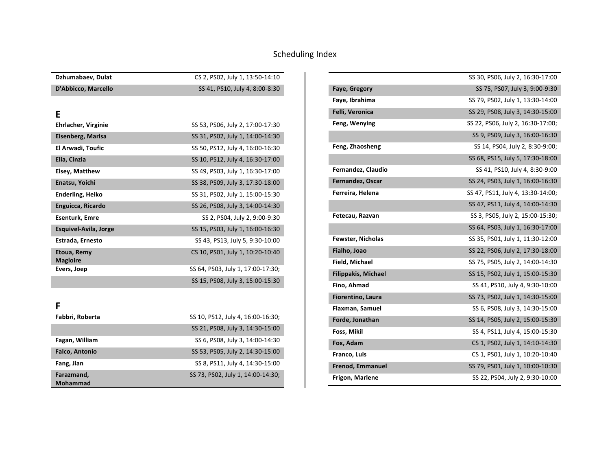| Dzhumabaev, Dulat              | CS 2, PS02, July 1, 13:50-14:10   |
|--------------------------------|-----------------------------------|
| D'Abbicco, Marcello            | SS 41, PS10, July 4, 8:00-8:30    |
|                                |                                   |
| E                              |                                   |
| Ehrlacher, Virginie            | SS 53, PS06, July 2, 17:00-17:30  |
| Eisenberg, Marisa              | SS 31, PS02, July 1, 14:00-14:30  |
| El Arwadi, Toufic              | SS 50, PS12, July 4, 16:00-16:30  |
| Elia, Cinzia                   | SS 10, PS12, July 4, 16:30-17:00  |
| <b>Elsey, Matthew</b>          | SS 49, PS03, July 1, 16:30-17:00  |
| Enatsu, Yoichi                 | SS 38, PS09, July 3, 17:30-18:00  |
| <b>Enderling, Heiko</b>        | SS 31, PS02, July 1, 15:00-15:30  |
| Enguicca, Ricardo              | SS 26, PS08, July 3, 14:00-14:30  |
| <b>Esenturk, Emre</b>          | SS 2, PS04, July 2, 9:00-9:30     |
| Esquivel-Avila, Jorge          | SS 15, PS03, July 1, 16:00-16:30  |
| Estrada, Ernesto               | SS 43, PS13, July 5, 9:30-10:00   |
| Etoua, Remy<br><b>Magloire</b> | CS 10, PS01, July 1, 10:20-10:40  |
| Evers, Joep                    | SS 64, PS03, July 1, 17:00-17:30; |
|                                | SS 15, PS08, July 3, 15:00-15:30  |

| . . |
|-----|
|     |
|     |

| Fabbri, Roberta       | SS 10, PS12, July 4, 16:00-16:30; |
|-----------------------|-----------------------------------|
|                       | SS 21, PS08, July 3, 14:30-15:00  |
| Fagan, William        | SS 6, PS08, July 3, 14:00-14:30   |
| <b>Falco, Antonio</b> | SS 53, PS05, July 2, 14:30-15:00  |
| Fang, Jian            | SS 8, PS11, July 4, 14:30-15:00   |
| Farazmand,            | SS 73, PS02, July 1, 14:00-14:30; |
| <b>Mohammad</b>       |                                   |

|                            | SS 30, PS06, July 2, 16:30-17:00  |
|----------------------------|-----------------------------------|
| Faye, Gregory              | SS 75, PS07, July 3, 9:00-9:30    |
| Faye, Ibrahima             | SS 79, PS02, July 1, 13:30-14:00  |
| Felli, Veronica            | SS 29, PS08, July 3, 14:30-15:00  |
| Feng, Wenying              | SS 22, PS06, July 2, 16:30-17:00; |
|                            | SS 9, PS09, July 3, 16:00-16:30   |
| Feng, Zhaosheng            | SS 14, PS04, July 2, 8:30-9:00;   |
|                            | SS 68, PS15, July 5, 17:30-18:00  |
| Fernandez, Claudio         | SS 41, PS10, July 4, 8:30-9:00    |
| Fernandez, Oscar           | SS 24, PS03, July 1, 16:00-16:30  |
| Ferreira, Helena           | SS 47, PS11, July 4, 13:30-14:00; |
|                            | SS 47, PS11, July 4, 14:00-14:30  |
| Fetecau, Razvan            | SS 3, PS05, July 2, 15:00-15:30;  |
|                            | SS 64, PS03, July 1, 16:30-17:00  |
| <b>Fewster, Nicholas</b>   | SS 35, PS01, July 1, 11:30-12:00  |
| Fialho, Joao               | SS 22, PS06, July 2, 17:30-18:00  |
| Field, Michael             | SS 75, PS05, July 2, 14:00-14:30  |
| <b>Filippakis, Michael</b> | SS 15, PS02, July 1, 15:00-15:30  |
| Fino, Ahmad                | SS 41, PS10, July 4, 9:30-10:00   |
| Fiorentino, Laura          | SS 73, PS02, July 1, 14:30-15:00  |
| Flaxman, Samuel            | SS 6, PS08, July 3, 14:30-15:00   |
| Forde, Jonathan            | SS 14, PS05, July 2, 15:00-15:30  |
| Foss, Mikil                | SS 4, PS11, July 4, 15:00-15:30   |
| Fox, Adam                  | CS 1, PS02, July 1, 14:10-14:30   |
| Franco, Luis               | CS 1, PS01, July 1, 10:20-10:40   |
| <b>Frenod, Emmanuel</b>    | SS 79, PS01, July 1, 10:00-10:30  |
| Frigon, Marlene            | SS 22, PS04, July 2, 9:30-10:00   |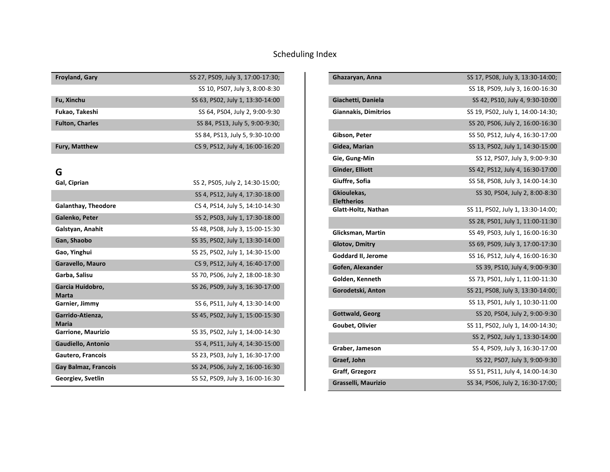| <b>Froyland, Gary</b>  | SS 27, PS09, July 3, 17:00-17:30; |
|------------------------|-----------------------------------|
|                        | SS 10, PS07, July 3, 8:00-8:30    |
| Fu, Xinchu             | SS 63, PS02, July 1, 13:30-14:00  |
| Fukao, Takeshi         | SS 64, PS04, July 2, 9:00-9:30    |
| <b>Fulton, Charles</b> | SS 84, PS13, July 5, 9:00-9:30;   |
|                        | SS 84, PS13, July 5, 9:30-10:00   |
| <b>Fury, Matthew</b>   | CS 9, PS12, July 4, 16:00-16:20   |
|                        |                                   |

# **G**<br>Gal, Ciprian

| Gal, Ciprian                     | SS 2, PS05, July 2, 14:30-15:00; |
|----------------------------------|----------------------------------|
|                                  | SS 4, PS12, July 4, 17:30-18:00  |
| <b>Galanthay, Theodore</b>       | CS 4, PS14, July 5, 14:10-14:30  |
| Galenko, Peter                   | SS 2, PS03, July 1, 17:30-18:00  |
| Galstyan, Anahit                 | SS 48, PS08, July 3, 15:00-15:30 |
| Gan, Shaobo                      | SS 35, PS02, July 1, 13:30-14:00 |
| Gao, Yinghui                     | SS 25, PS02, July 1, 14:30-15:00 |
| Garavello, Mauro                 | CS 9, PS12, July 4, 16:40-17:00  |
| Garba, Salisu                    | SS 70, PS06, July 2, 18:00-18:30 |
| Garcia Huidobro,<br><b>Marta</b> | SS 26, PS09, July 3, 16:30-17:00 |
| Garnier, Jimmy                   | SS 6, PS11, July 4, 13:30-14:00  |
| Garrido-Atienza,<br>Maria        | SS 45, PS02, July 1, 15:00-15:30 |
| Garrione, Maurizio               | SS 35, PS02, July 1, 14:00-14:30 |
| Gaudiello, Antonio               | SS 4, PS11, July 4, 14:30-15:00  |
| Gautero, Francois                | SS 23, PS03, July 1, 16:30-17:00 |
| Gay Balmaz, Francois             | SS 24, PS06, July 2, 16:00-16:30 |
| Georgiev, Svetlin                | SS 52, PS09, July 3, 16:00-16:30 |

| Ghazaryan, Anna                   | SS 17, PS08, July 3, 13:30-14:00; |
|-----------------------------------|-----------------------------------|
|                                   | SS 18, PS09, July 3, 16:00-16:30  |
| Giachetti, Daniela                | SS 42, PS10, July 4, 9:30-10:00   |
| <b>Giannakis, Dimitrios</b>       | SS 19, PS02, July 1, 14:00-14:30; |
|                                   | SS 20, PS06, July 2, 16:00-16:30  |
| Gibson, Peter                     | SS 50, PS12, July 4, 16:30-17:00  |
| Gidea, Marian                     | SS 13, PS02, July 1, 14:30-15:00  |
| Gie, Gung-Min                     | SS 12, PS07, July 3, 9:00-9:30    |
| Ginder, Elliott                   | SS 42, PS12, July 4, 16:30-17:00  |
| Giuffre, Sofia                    | SS 58, PS08, July 3, 14:00-14:30  |
| Gkioulekas,<br><b>Eleftherios</b> | SS 30, PS04, July 2, 8:00-8:30    |
| Glatt-Holtz, Nathan               | SS 11, PS02, July 1, 13:30-14:00; |
|                                   | SS 28, PS01, July 1, 11:00-11:30  |
| Glicksman, Martin                 | SS 49, PS03, July 1, 16:00-16:30  |
| <b>Glotov, Dmitry</b>             | SS 69, PS09, July 3, 17:00-17:30  |
| Goddard II, Jerome                | SS 16, PS12, July 4, 16:00-16:30  |
| Gofen, Alexander                  | SS 39, PS10, July 4, 9:00-9:30    |
| Golden, Kenneth                   | SS 73, PS01, July 1, 11:00-11:30  |
| Gorodetski, Anton                 | SS 21, PS08, July 3, 13:30-14:00; |
|                                   | SS 13, PS01, July 1, 10:30-11:00  |
| Gottwald, Georg                   | SS 20, PS04, July 2, 9:00-9:30    |
| Goubet, Olivier                   | SS 11, PS02, July 1, 14:00-14:30; |
|                                   | SS 2, PS02, July 1, 13:30-14:00   |
| Graber, Jameson                   | SS 4, PS09, July 3, 16:30-17:00   |
| Graef, John                       | SS 22, PS07, July 3, 9:00-9:30    |
| Graff, Grzegorz                   | SS 51, PS11, July 4, 14:00-14:30  |
| Grasselli, Maurizio               | SS 34, PS06, July 2, 16:30-17:00; |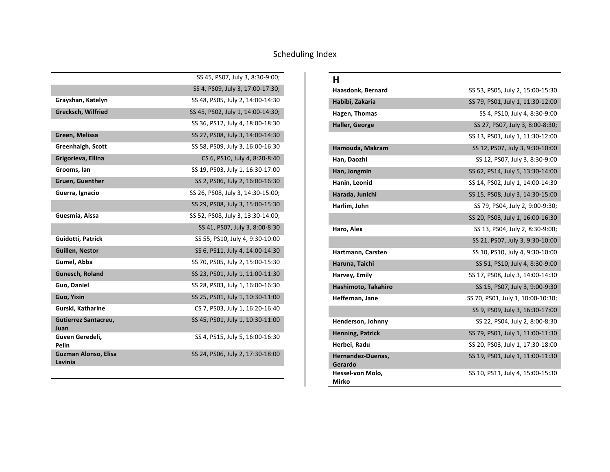|                                 | SS 45, PS07, July 3, 8:30-9:00;   |
|---------------------------------|-----------------------------------|
|                                 | SS 4, PS09, July 3, 17:00-17:30;  |
| Grayshan, Katelyn               | SS 48, PS05, July 2, 14:00-14:30  |
| <b>Grecksch, Wilfried</b>       | SS 45, PS02, July 1, 14:00-14:30; |
|                                 | SS 36, PS12, July 4, 18:00-18:30  |
| Green, Melissa                  | SS 27, PS08, July 3, 14:00-14:30  |
| Greenhalgh, Scott               | SS 58, PS09, July 3, 16:00-16:30  |
| Grigorieva, Ellina              | CS 6, PS10, July 4, 8:20-8:40     |
| Grooms, Ian                     | SS 19, PS03, July 1, 16:30-17:00  |
| <b>Gruen, Guenther</b>          | SS 2, PS06, July 2, 16:00-16:30   |
| Guerra, Ignacio                 | SS 26, PS08, July 3, 14:30-15:00; |
|                                 | SS 29, PS08, July 3, 15:00-15:30  |
| Guesmia, Aissa                  | SS 52, PS08, July 3, 13:30-14:00; |
|                                 | SS 41, PS07, July 3, 8:00-8:30    |
| Guidotti, Patrick               | SS 55, PS10, July 4, 9:30-10:00   |
| <b>Guillen, Nestor</b>          | SS 6, PS11, July 4, 14:00-14:30   |
| Gumel, Abba                     | SS 70, PS05, July 2, 15:00-15:30  |
| Gunesch, Roland                 | SS 23, PS01, July 1, 11:00-11:30  |
| Guo, Daniel                     | SS 28, PS03, July 1, 16:00-16:30  |
| Guo, Yixin                      | SS 25, PS01, July 1, 10:30-11:00  |
| Gurski, Katharine               | CS 7, PS03, July 1, 16:20-16:40   |
| Gutierrez Santacreu,<br>Juan    | SS 45, PS01, July 1, 10:30-11:00  |
| Guven Geredeli,<br>Pelin        | SS 4, PS15, July 5, 16:00-16:30   |
| Guzman Alonso, Elisa<br>Lavinia | SS 24, PS06, July 2, 17:30-18:00  |

| н                            |                                   |
|------------------------------|-----------------------------------|
| Haasdonk, Bernard            | SS 53, PS05, July 2, 15:00-15:30  |
| Habibi, Zakaria              | SS 79, PS01, July 1, 11:30-12:00  |
| Hagen, Thomas                | SS 4, PS10, July 4, 8:30-9:00     |
| Haller, George               | SS 27, PS07, July 3, 8:00-8:30;   |
|                              | SS 13, PS01, July 1, 11:30-12:00  |
| Hamouda, Makram              | SS 12, PS07, July 3, 9:30-10:00   |
| Han, Daozhi                  | SS 12, PS07, July 3, 8:30-9:00    |
| Han, Jongmin                 | SS 62, PS14, July 5, 13:30-14:00  |
| Hanin, Leonid                | SS 14, PS02, July 1, 14:00-14:30  |
| Harada, Junichi              | SS 15, PS08, July 3, 14:30-15:00  |
| Harlim, John                 | SS 79, PS04, July 2, 9:00-9:30;   |
|                              | SS 20, PS03, July 1, 16:00-16:30  |
| Haro, Alex                   | SS 13, PS04, July 2, 8:30-9:00;   |
|                              | SS 21, PS07, July 3, 9:30-10:00   |
| Hartmann, Carsten            | SS 10, PS10, July 4, 9:30-10:00   |
| Haruna, Taichi               | SS 51, PS10, July 4, 8:30-9:00    |
| Harvey, Emily                | SS 17, PS08, July 3, 14:00-14:30  |
| Hashimoto, Takahiro          | SS 15, PS07, July 3, 9:00-9:30    |
| Heffernan, Jane              | SS 70, PS01, July 1, 10:00-10:30; |
|                              | SS 9, PS09, July 3, 16:30-17:00   |
| Henderson, Johnny            | SS 22, PS04, July 2, 8:00-8:30    |
| <b>Henning, Patrick</b>      | SS 79, PS01, July 1, 11:00-11:30  |
| Herbei, Radu                 | SS 20, PS03, July 1, 17:30-18:00  |
| Hernandez-Duenas,<br>Gerardo | SS 19, PS01, July 1, 11:00-11:30  |
| Hessel-von Molo,<br>Mirko    | SS 10, PS11, July 4, 15:00-15:30  |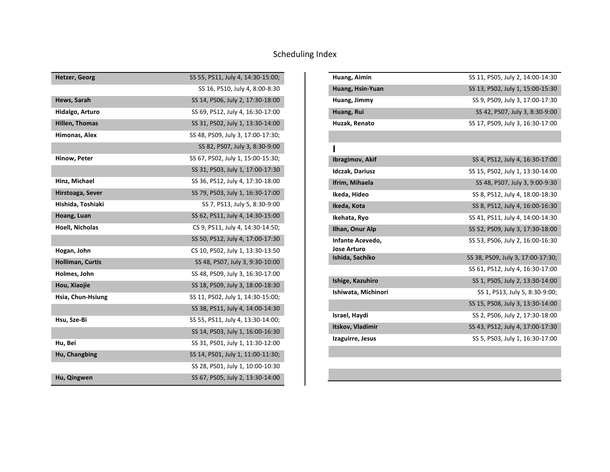| <b>Hetzer, Georg</b>    | SS 55, PS11, July 4, 14:30-15:00; |
|-------------------------|-----------------------------------|
|                         | SS 16, PS10, July 4, 8:00-8:30    |
| Hews, Sarah             | SS 14, PS06, July 2, 17:30-18:00  |
| Hidalgo, Arturo         | SS 69, PS12, July 4, 16:30-17:00  |
| Hillen, Thomas          | SS 31, PS02, July 1, 13:30-14:00  |
| Himonas, Alex           | SS 48, PS09, July 3, 17:00-17:30; |
|                         | SS 82, PS07, July 3, 8:30-9:00    |
| Hinow, Peter            | SS 67, PS02, July 1, 15:00-15:30; |
|                         | SS 31, PS03, July 1, 17:00-17:30  |
| Hinz, Michael           | SS 36, PS12, July 4, 17:30-18:00  |
| Hirstoaga, Sever        | SS 79, PS03, July 1, 16:30-17:00  |
| Hishida, Toshiaki       | SS 7, PS13, July 5, 8:30-9:00     |
| Hoang, Luan             | SS 62, PS11, July 4, 14:30-15:00  |
| Hoell, Nicholas         | CS 9, PS11, July 4, 14:30-14:50;  |
|                         | SS 50, PS12, July 4, 17:00-17:30  |
| Hogan, John             | CS 10, PS02, July 1, 13:30-13:50  |
| <b>Holliman, Curtis</b> | SS 48, PS07, July 3, 9:30-10:00   |
| Holmes, John            | SS 48, PS09, July 3, 16:30-17:00  |
| Hou, Xiaojie            | SS 18, PS09, July 3, 18:00-18:30  |
| Hsia, Chun-Hsiung       | SS 11, PS02, July 1, 14:30-15:00; |
|                         | SS 38, PS11, July 4, 14:00-14:30  |
| Hsu, Sze-Bi             | SS 55, PS11, July 4, 13:30-14:00; |
|                         | SS 14, PS03, July 1, 16:00-16:30  |
| Hu, Bei                 | SS 31, PS01, July 1, 11:30-12:00  |
| Hu, Changbing           | SS 14, PS01, July 1, 11:00-11:30; |
|                         | SS 28, PS01, July 1, 10:00-10:30  |
| Hu, Qingwen             | SS 67, PS05, July 2, 13:30-14:00  |

| Huang, Aimin                           | SS 11, PS05, July 2, 14:00-14:30  |
|----------------------------------------|-----------------------------------|
| Huang, Hsin-Yuan                       | SS 13, PS02, July 1, 15:00-15:30  |
| Huang, Jimmy                           | SS 9, PS09, July 3, 17:00-17:30   |
| Huang, Rui                             | SS 42, PS07, July 3, 8:30-9:00    |
| Huzak, Renato                          | SS 17, PS09, July 3, 16:30-17:00  |
|                                        |                                   |
|                                        |                                   |
| <b>Ibragimov, Akif</b>                 | SS 4, PS12, July 4, 16:30-17:00   |
| <b>Idczak, Dariusz</b>                 | SS 15, PS02, July 1, 13:30-14:00  |
| Ifrim, Mihaela                         | SS 48, PS07, July 3, 9:00-9:30    |
| Ikeda, Hideo                           | SS 8, PS12, July 4, 18:00-18:30   |
| Ikeda, Kota                            | SS 8, PS12, July 4, 16:00-16:30   |
| Ikehata, Ryo                           | SS 41, PS11, July 4, 14:00-14:30  |
| Ilhan, Onur Alp                        | SS 52, PS09, July 3, 17:30-18:00  |
| Infante Acevedo,<br><b>Jose Arturo</b> | SS 53, PS06, July 2, 16:00-16:30  |
| Ishida, Sachiko                        | SS 38, PS09, July 3, 17:00-17:30; |
|                                        | SS 61, PS12, July 4, 16:30-17:00  |
| Ishige, Kazuhiro                       | SS 1, PS05, July 2, 13:30-14:00   |
| Ishiwata, Michinori                    | SS 1, PS13, July 5, 8:30-9:00;    |
|                                        | SS 15, PS08, July 3, 13:30-14:00  |
| Israel, Haydi                          | SS 2, PS06, July 2, 17:30-18:00   |
| Itskov, Vladimir                       | SS 43, PS12, July 4, 17:00-17:30  |
| Izaguirre, Jesus                       | SS 5, PS03, July 1, 16:30-17:00   |
|                                        |                                   |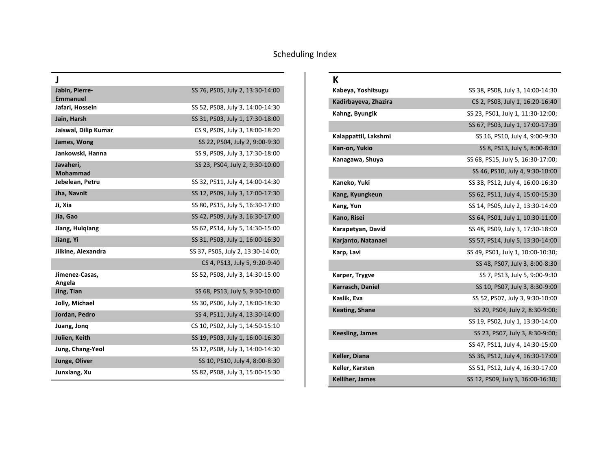| J                                 |                                   |
|-----------------------------------|-----------------------------------|
| Jabin, Pierre-<br><b>Emmanuel</b> | SS 76, PS05, July 2, 13:30-14:00  |
| Jafari, Hossein                   | SS 52, PS08, July 3, 14:00-14:30  |
| Jain, Harsh                       | SS 31, PS03, July 1, 17:30-18:00  |
| Jaiswal, Dilip Kumar              | CS 9, PS09, July 3, 18:00-18:20   |
| James, Wong                       | SS 22, PS04, July 2, 9:00-9:30    |
| Jankowski, Hanna                  | SS 9, PS09, July 3, 17:30-18:00   |
| Javaheri,<br><b>Mohammad</b>      | SS 23, PS04, July 2, 9:30-10:00   |
| Jebelean, Petru                   | SS 32, PS11, July 4, 14:00-14:30  |
| Jha, Navnit                       | SS 12, PS09, July 3, 17:00-17:30  |
| Ji, Xia                           | SS 80, PS15, July 5, 16:30-17:00  |
| Jia, Gao                          | SS 42, PS09, July 3, 16:30-17:00  |
| Jiang, Huigiang                   | SS 62, PS14, July 5, 14:30-15:00  |
| Jiang, Yi                         | SS 31, PS03, July 1, 16:00-16:30  |
| Jilkine, Alexandra                | SS 37, PS05, July 2, 13:30-14:00; |
|                                   | CS 4, PS13, July 5, 9:20-9:40     |
| Jimenez-Casas,<br>Angela          | SS 52, PS08, July 3, 14:30-15:00  |
| Jing, Tian                        | SS 68, PS13, July 5, 9:30-10:00   |
| Jolly, Michael                    | SS 30, PS06, July 2, 18:00-18:30  |
| Jordan, Pedro                     | SS 4, PS11, July 4, 13:30-14:00   |
| Juang, Jong                       | CS 10, PS02, July 1, 14:50-15:10  |
| Juiien, Keith                     | SS 19, PS03, July 1, 16:00-16:30  |
| Jung, Chang-Yeol                  | SS 12, PS08, July 3, 14:00-14:30  |
| Junge, Oliver                     | SS 10, PS10, July 4, 8:00-8:30    |
| Junxiang, Xu                      | SS 82, PS08, July 3, 15:00-15:30  |

#### **K**

| Kabeya, Yoshitsugu     | SS 38, PS08, July 3, 14:00-14:30  |
|------------------------|-----------------------------------|
| Kadirbayeva, Zhazira   | CS 2, PS03, July 1, 16:20-16:40   |
| Kahng, Byungik         | SS 23, PS01, July 1, 11:30-12:00; |
|                        | SS 67, PS03, July 1, 17:00-17:30  |
| Kalappattil, Lakshmi   | SS 16, PS10, July 4, 9:00-9:30    |
| Kan-on, Yukio          | SS 8, PS13, July 5, 8:00-8:30     |
| Kanagawa, Shuya        | SS 68, PS15, July 5, 16:30-17:00; |
|                        | SS 46, PS10, July 4, 9:30-10:00   |
| Kaneko, Yuki           | SS 38, PS12, July 4, 16:00-16:30  |
| Kang, Kyungkeun        | SS 62, PS11, July 4, 15:00-15:30  |
| Kang, Yun              | SS 14, PS05, July 2, 13:30-14:00  |
| Kano, Risei            | SS 64, PS01, July 1, 10:30-11:00  |
| Karapetyan, David      | SS 48, PS09, July 3, 17:30-18:00  |
| Karjanto, Natanael     | SS 57, PS14, July 5, 13:30-14:00  |
| Karp, Lavi             | SS 49, PS01, July 1, 10:00-10:30; |
|                        | SS 48, PS07, July 3, 8:00-8:30    |
| Karper, Trygve         | SS 7, PS13, July 5, 9:00-9:30     |
| Karrasch, Daniel       | SS 10, PS07, July 3, 8:30-9:00    |
| Kaslik, Eva            | SS 52, PS07, July 3, 9:30-10:00   |
| <b>Keating, Shane</b>  | SS 20, PS04, July 2, 8:30-9:00;   |
|                        | SS 19, PS02, July 1, 13:30-14:00  |
| <b>Keesling, James</b> | SS 23, PS07, July 3, 8:30-9:00;   |
|                        | SS 47, PS11, July 4, 14:30-15:00  |
| Keller, Diana          | SS 36, PS12, July 4, 16:30-17:00  |
| Keller, Karsten        | SS 51, PS12, July 4, 16:30-17:00  |
| Kelliher, James        | SS 12, PS09, July 3, 16:00-16:30; |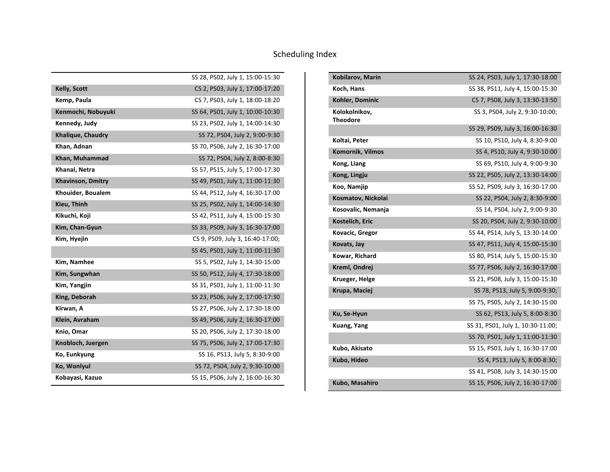|                          | SS 28, PS02, July 1, 15:00-15:30 |
|--------------------------|----------------------------------|
| <b>Kelly, Scott</b>      | CS 2, PS03, July 1, 17:00-17:20  |
| Kemp, Paula              | CS 7, PS03, July 1, 18:00-18:20  |
| Kenmochi, Nobuyuki       | SS 64, PS01, July 1, 10:00-10:30 |
| Kennedy, Judy            | SS 23, PS02, July 1, 14:00-14:30 |
| Khalique, Chaudry        | SS 72, PS04, July 2, 9:00-9:30   |
| Khan, Adnan              | SS 70, PS06, July 2, 16:30-17:00 |
| Khan, Muhammad           | SS 72, PS04, July 2, 8:00-8:30   |
| Khanal, Netra            | SS 57, PS15, July 5, 17:00-17:30 |
| <b>Khavinson, Dmitry</b> | SS 49, PS01, July 1, 11:00-11:30 |
| Khouider, Boualem        | SS 44, PS12, July 4, 16:30-17:00 |
| Kieu, Thinh              | SS 25, PS02, July 1, 14:00-14:30 |
| Kikuchi, Koji            | SS 42, PS11, July 4, 15:00-15:30 |
| Kim, Chan-Gyun           | SS 33, PS09, July 3, 16:30-17:00 |
| Kim, Hyejin              | CS 9, PS09, July 3, 16:40-17:00; |
|                          | SS 45, PS01, July 1, 11:00-11:30 |
| Kim, Namhee              | SS 5, PS02, July 1, 14:30-15:00  |
| Kim, Sungwhan            | SS 50, PS12, July 4, 17:30-18:00 |
| Kim, Yangjin             | SS 31, PS01, July 1, 11:00-11:30 |
| King, Deborah            | SS 23, PS06, July 2, 17:00-17:30 |
| Kirwan, A                | SS 27, PS06, July 2, 17:30-18:00 |
| Klein, Avraham           | SS 49, PS06, July 2, 16:30-17:00 |
| Knio, Omar               | SS 20, PS06, July 2, 17:30-18:00 |
| Knobloch, Juergen        | SS 75, PS06, July 2, 17:00-17:30 |
| Ko, Eunkyung             | SS 16, PS13, July 5, 8:30-9:00   |
| Ko, Wonlyul              | SS 72, PS04, July 2, 9:30-10:00  |
| Kobayasi, Kazuo          | SS 15, PS06, July 2, 16:00-16:30 |

| Kobilarov, Marin                 | SS 24, PS03, July 1, 17:30-18:00  |
|----------------------------------|-----------------------------------|
| Koch, Hans                       | SS 38, PS11, July 4, 15:00-15:30  |
| Kohler, Dominic                  | CS 7, PS08, July 3, 13:30-13:50   |
| Kolokolnikov,<br><b>Theodore</b> | SS 3, PS04, July 2, 9:30-10:00;   |
|                                  | SS 29, PS09, July 3, 16:00-16:30  |
| Koltai, Peter                    | SS 10, PS10, July 4, 8:30-9:00    |
| <b>Komornik, Vilmos</b>          | SS 4, PS10, July 4, 9:30-10:00    |
| Kong, Liang                      | SS 69, PS10, July 4, 9:00-9:30    |
| Kong, Lingju                     | SS 22, PS05, July 2, 13:30-14:00  |
| Koo, Namjip                      | SS 52, PS09, July 3, 16:30-17:00  |
| Kosmatov, Nickolai               | SS 22, PS04, July 2, 8:30-9:00    |
| Kosovalic, Nemanja               | SS 14, PS04, July 2, 9:00-9:30    |
| Kostelich, Eric                  | SS 20, PS04, July 2, 9:30-10:00   |
| Kovacic, Gregor                  | SS 44, PS14, July 5, 13:30-14:00  |
| Kovats, Jay                      | SS 47, PS11, July 4, 15:00-15:30  |
| Kowar, Richard                   | SS 80, PS14, July 5, 15:00-15:30  |
| Kreml, Ondrej                    | SS 77, PS06, July 2, 16:30-17:00  |
| Krueger, Helge                   | SS 21, PS08, July 3, 15:00-15:30  |
| Krupa, Maciej                    | SS 78, PS13, July 5, 9:00-9:30;   |
|                                  | SS 75, PS05, July 2, 14:30-15:00  |
| Ku, Se-Hyun                      | SS 62, PS13, July 5, 8:00-8:30    |
| Kuang, Yang                      | SS 31, PS01, July 1, 10:30-11:00; |
|                                  | SS 70, PS01, July 1, 11:00-11:30  |
| Kubo, Akisato                    | SS 15, PS03, July 1, 16:30-17:00  |
| Kubo, Hideo                      | SS 4, PS13, July 5, 8:00-8:30;    |
|                                  | SS 41, PS08, July 3, 14:30-15:00  |
| Kubo, Masahiro                   | SS 15, PS06, July 2, 16:30-17:00  |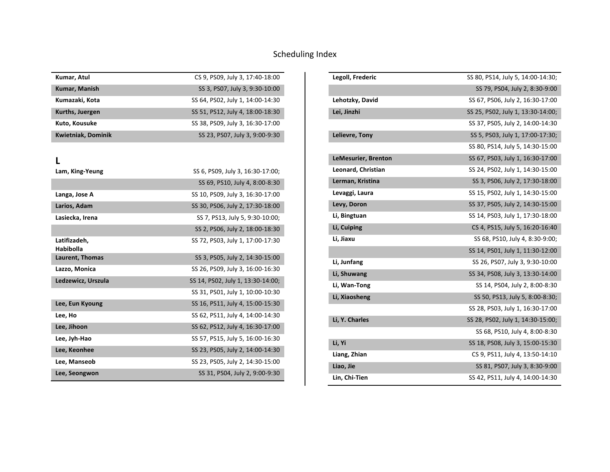| Kumar, Atul               | CS 9, PS09, July 3, 17:40-18:00  |
|---------------------------|----------------------------------|
| <b>Kumar, Manish</b>      | SS 3, PS07, July 3, 9:30-10:00   |
| Kumazaki, Kota            | SS 64, PS02, July 1, 14:00-14:30 |
| Kurths, Juergen           | SS 51, PS12, July 4, 18:00-18:30 |
| Kuto, Kousuke             | SS 38, PS09, July 3, 16:30-17:00 |
| <b>Kwietniak, Dominik</b> | SS 23, PS07, July 3, 9:00-9:30   |

#### **L**

| Lam, King-Yeung                  | SS 6, PS09, July 3, 16:30-17:00;  |
|----------------------------------|-----------------------------------|
|                                  | SS 69, PS10, July 4, 8:00-8:30    |
| Langa, Jose A                    | SS 10, PS09, July 3, 16:30-17:00  |
| Larios, Adam                     | SS 30, PS06, July 2, 17:30-18:00  |
| Lasiecka, Irena                  | SS 7, PS13, July 5, 9:30-10:00;   |
|                                  | SS 2, PS06, July 2, 18:00-18:30   |
| Latifizadeh,<br><b>Habibolla</b> | SS 72, PS03, July 1, 17:00-17:30  |
| Laurent, Thomas                  | SS 3, PS05, July 2, 14:30-15:00   |
| Lazzo, Monica                    | SS 26, PS09, July 3, 16:00-16:30  |
| Ledzewicz, Urszula               | SS 14, PS02, July 1, 13:30-14:00; |
|                                  |                                   |
|                                  | SS 31, PS01, July 1, 10:00-10:30  |
| Lee, Eun Kyoung                  | SS 16, PS11, July 4, 15:00-15:30  |
| Lee, Ho                          | SS 62, PS11, July 4, 14:00-14:30  |
| Lee, Jihoon                      | SS 62, PS12, July 4, 16:30-17:00  |
| Lee, Jyh-Hao                     | SS 57, PS15, July 5, 16:00-16:30  |
| Lee, Keonhee                     | SS 23, PS05, July 2, 14:00-14:30  |
| Lee, Manseob                     | SS 23, PS05, July 2, 14:30-15:00  |

| Legoll, Frederic    | SS 80, PS14, July 5, 14:00-14:30; |
|---------------------|-----------------------------------|
|                     | SS 79, PS04, July 2, 8:30-9:00    |
| Lehotzky, David     | SS 67, PS06, July 2, 16:30-17:00  |
| Lei, Jinzhi         | SS 25, PS02, July 1, 13:30-14:00; |
|                     | SS 37, PS05, July 2, 14:00-14:30  |
| Lelievre, Tony      | SS 5, PS03, July 1, 17:00-17:30;  |
|                     | SS 80, PS14, July 5, 14:30-15:00  |
| LeMesurier, Brenton | SS 67, PS03, July 1, 16:30-17:00  |
| Leonard, Christian  | SS 24, PS02, July 1, 14:30-15:00  |
| Lerman, Kristina    | SS 3, PS06, July 2, 17:30-18:00   |
| Levaggi, Laura      | SS 15, PS02, July 1, 14:30-15:00  |
| Levy, Doron         | SS 37, PS05, July 2, 14:30-15:00  |
| Li, Bingtuan        | SS 14, PS03, July 1, 17:30-18:00  |
| Li, Cuiping         | CS 4, PS15, July 5, 16:20-16:40   |
| Li, Jiaxu           | SS 68, PS10, July 4, 8:30-9:00;   |
|                     | SS 14, PS01, July 1, 11:30-12:00  |
| Li, Junfang         | SS 26, PS07, July 3, 9:30-10:00   |
| Li, Shuwang         | SS 34, PS08, July 3, 13:30-14:00  |
| Li, Wan-Tong        | SS 14, PS04, July 2, 8:00-8:30    |
| Li, Xiaosheng       | SS 50, PS13, July 5, 8:00-8:30;   |
|                     | SS 28, PS03, July 1, 16:30-17:00  |
| Li, Y. Charles      | SS 28, PS02, July 1, 14:30-15:00; |
|                     | SS 68, PS10, July 4, 8:00-8:30    |
| Li, Yi              | SS 18, PS08, July 3, 15:00-15:30  |
| Liang, Zhian        | CS 9, PS11, July 4, 13:50-14:10   |
| Liao, Jie           | SS 81, PS07, July 3, 8:30-9:00    |
| Lin, Chi-Tien       | SS 42, PS11, July 4, 14:00-14:30  |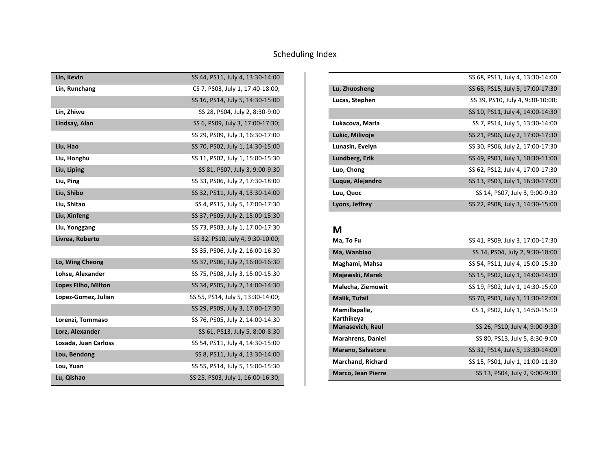| Lin, Kevin           | SS 44, PS11, July 4, 13:30-14:00  |
|----------------------|-----------------------------------|
| Lin, Runchang        | CS 7, PS03, July 1, 17:40-18:00;  |
|                      | SS 16, PS14, July 5, 14:30-15:00  |
| Lin, Zhiwu           | SS 28, PS04, July 2, 8:30-9:00    |
| Lindsay, Alan        | SS 6, PS09, July 3, 17:00-17:30;  |
|                      | SS 29, PS09, July 3, 16:30-17:00  |
| Liu, Hao             | SS 70, PS02, July 1, 14:30-15:00  |
| Liu, Honghu          | SS 11, PS02, July 1, 15:00-15:30  |
| Liu, Liping          | SS 81, PS07, July 3, 9:00-9:30    |
| Liu, Ping            | SS 33, PS06, July 2, 17:30-18:00  |
| Liu, Shibo           | SS 32, PS11, July 4, 13:30-14:00  |
| Liu, Shitao          | SS 4, PS15, July 5, 17:00-17:30   |
| Liu, Xinfeng         | SS 37, PS05, July 2, 15:00-15:30  |
| Liu, Yonggang        | SS 73, PS03, July 1, 17:00-17:30  |
| Livrea, Roberto      | SS 32, PS10, July 4, 9:30-10:00;  |
|                      | SS 35, PS06, July 2, 16:00-16:30  |
| Lo, Wing Cheong      | SS 37, PS06, July 2, 16:00-16:30  |
| Lohse, Alexander     | SS 75, PS08, July 3, 15:00-15:30  |
| Lopes Filho, Milton  | SS 34, PS05, July 2, 14:00-14:30  |
| Lopez-Gomez, Julian  | SS 55, PS14, July 5, 13:30-14:00; |
|                      | SS 29, PS09, July 3, 17:00-17:30  |
| Lorenzi, Tommaso     | SS 76, PS05, July 2, 14:00-14:30  |
| Lorz, Alexander      | SS 61, PS13, July 5, 8:00-8:30    |
| Losada, Juan Carloss | SS 54, PS11, July 4, 14:30-15:00  |
| Lou, Bendong         | SS 8, PS11, July 4, 13:30-14:00   |
| Lou, Yuan            | SS 55, PS14, July 5, 15:00-15:30  |
| Lu, Qishao           | SS 25, PS03, July 1, 16:00-16:30; |

|                  | SS 68, PS11, July 4, 13:30-14:00 |
|------------------|----------------------------------|
| Lu, Zhuosheng    | SS 68, PS15, July 5, 17:00-17:30 |
| Lucas, Stephen   | SS 39, PS10, July 4, 9:30-10:00; |
|                  | SS 10, PS11, July 4, 14:00-14:30 |
| Lukacova, Maria  | SS 7, PS14, July 5, 13:30-14:00  |
| Lukic, Milivoje  | SS 21, PS06, July 2, 17:00-17:30 |
| Lunasin, Evelyn  | SS 30, PS06, July 2, 17:00-17:30 |
| Lundberg, Erik   | SS 49, PS01, July 1, 10:30-11:00 |
| Luo, Chong       | SS 62, PS12, July 4, 17:00-17:30 |
| Luque, Alejandro | SS 13, PS03, July 1, 16:30-17:00 |
| Luu, Quoc        | SS 14, PS07, July 3, 9:00-9:30   |
| Lyons, Jeffrey   | SS 22, PS08, July 3, 14:30-15:00 |

# **M**

| Ma, To Fu                   | SS 41, PS09, July 3, 17:00-17:30 |
|-----------------------------|----------------------------------|
| Ma, Wanbiao                 | SS 14, PS04, July 2, 9:30-10:00  |
| Maghami, Mahsa              | SS 54, PS11, July 4, 15:00-15:30 |
| Majewski, Marek             | SS 15, PS02, July 1, 14:00-14:30 |
| Malecha, Ziemowit           | SS 19, PS02, July 1, 14:30-15:00 |
| <b>Malik, Tufail</b>        | SS 70, PS01, July 1, 11:30-12:00 |
| Mamillapalle,<br>Karthikeya | CS 1, PS02, July 1, 14:50-15:10  |
| <b>Manasevich, Raul</b>     | SS 26, PS10, July 4, 9:00-9:30   |
| <b>Marahrens, Daniel</b>    | SS 80, PS13, July 5, 8:30-9:00   |
| <b>Marano, Salvatore</b>    | SS 32, PS14, July 5, 13:30-14:00 |
| <b>Marchand, Richard</b>    | SS 15, PS01, July 1, 11:00-11:30 |
| <b>Marco, Jean Pierre</b>   | SS 13, PS04, July 2, 9:00-9:30   |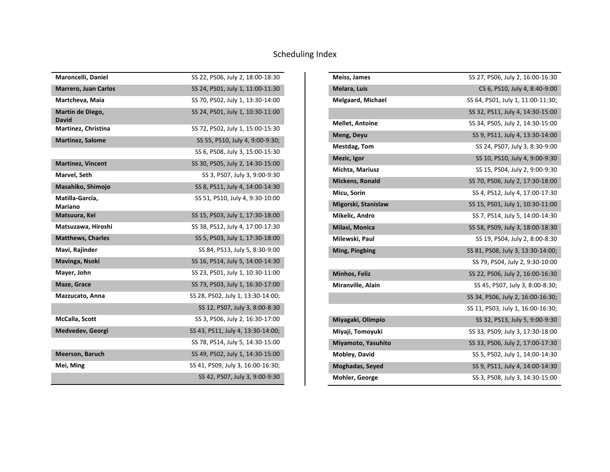| Maroncelli, Daniel                | SS 22, PS06, July 2, 18:00-18:30  |
|-----------------------------------|-----------------------------------|
| <b>Marrero, Juan Carlos</b>       | SS 24, PS01, July 1, 11:00-11:30  |
| Martcheva, Maia                   | SS 70, PS02, July 1, 13:30-14:00  |
| Martin de Diego,<br>David         | SS 24, PS01, July 1, 10:30-11:00  |
| Martinez, Christina               | SS 72, PS02, July 1, 15:00-15:30  |
| <b>Martinez, Salome</b>           | SS 55, PS10, July 4, 9:00-9:30;   |
|                                   | SS 6, PS08, July 3, 15:00-15:30   |
| <b>Martinez, Vincent</b>          | SS 30, PS05, July 2, 14:30-15:00  |
| Marvel, Seth                      | SS 3, PS07, July 3, 9:00-9:30     |
| Masahiko, Shimojo                 | SS 8, PS11, July 4, 14:00-14:30   |
| Matilla-Garcia,<br><b>Mariano</b> | SS 51, PS10, July 4, 9:30-10:00   |
| Matsuura, Kei                     | SS 15, PS03, July 1, 17:30-18:00  |
| Matsuzawa, Hiroshi                | SS 38, PS12, July 4, 17:00-17:30  |
| <b>Matthews, Charles</b>          | SS 5, PS03, July 1, 17:30-18:00   |
| Mavi, Rajinder                    | SS 84, PS13, July 5, 8:30-9:00    |
| Mavinga, Nsoki                    | SS 16, PS14, July 5, 14:00-14:30  |
| Mayer, John                       | SS 23, PS01, July 1, 10:30-11:00  |
| Maze, Grace                       | SS 73, PS03, July 1, 16:30-17:00  |
| Mazzucato, Anna                   | SS 28, PS02, July 1, 13:30-14:00; |
|                                   | SS 12, PS07, July 3, 8:00-8:30    |
| <b>McCalla, Scott</b>             | SS 3, PS06, July 2, 16:30-17:00   |
| Medvedev, Georgi                  | SS 43, PS11, July 4, 13:30-14:00; |
|                                   | SS 78, PS14, July 5, 14:30-15:00  |
| <b>Meerson, Baruch</b>            | SS 49, PS02, July 1, 14:30-15:00  |
| Mei, Ming                         | SS 41, PS09, July 3, 16:00-16:30; |
|                                   | SS 42, PS07, July 3, 9:00-9:30    |

| Meiss, James             | SS 27, PS06, July 2, 16:00-16:30  |
|--------------------------|-----------------------------------|
| Melara, Luis             | CS 6, PS10, July 4, 8:40-9:00     |
| <b>Melgaard, Michael</b> | SS 64, PS01, July 1, 11:00-11:30; |
|                          | SS 32, PS11, July 4, 14:30-15:00  |
| <b>Mellet, Antoine</b>   | SS 34, PS05, July 2, 14:30-15:00  |
| Meng, Deyu               | SS 9, PS11, July 4, 13:30-14:00   |
| Mestdag, Tom             | SS 24, PS07, July 3, 8:30-9:00    |
| Mezic, Igor              | SS 10, PS10, July 4, 9:00-9:30    |
| Michta, Mariusz          | SS 15, PS04, July 2, 9:00-9:30    |
| <b>Mickens, Ronald</b>   | SS 70, PS06, July 2, 17:30-18:00  |
| Micu, Sorin              | SS 4, PS12, July 4, 17:00-17:30   |
| Migorski, Stanislaw      | SS 15, PS01, July 1, 10:30-11:00  |
| Mikelic, Andro           | SS 7, PS14, July 5, 14:00-14:30   |
| Milasi, Monica           | SS 58, PS09, July 3, 18:00-18:30  |
| Milewski, Paul           | SS 19, PS04, July 2, 8:00-8:30    |
| Ming, Pingbing           | SS 81, PS08, July 3, 13:30-14:00; |
|                          | SS 79, PS04, July 2, 9:30-10:00   |
| Minhos, Feliz            | SS 22, PS06, July 2, 16:00-16:30  |
| Miranville, Alain        | SS 45, PS07, July 3, 8:00-8:30;   |
|                          | SS 34, PS06, July 2, 16:00-16:30; |
|                          | SS 11, PS03, July 1, 16:00-16:30; |
| Miyagaki, Olimpio        | SS 32, PS13, July 5, 9:00-9:30    |
| Miyaji, Tomoyuki         | SS 33, PS09, July 3, 17:30-18:00  |
| Miyamoto, Yasuhito       | SS 33, PS06, July 2, 17:00-17:30  |
| Mobley, David            | SS 5, PS02, July 1, 14:00-14:30   |
| Moghadas, Seyed          | SS 9, PS11, July 4, 14:00-14:30   |
| Mohler, George           | SS 3, PS08, July 3, 14:30-15:00   |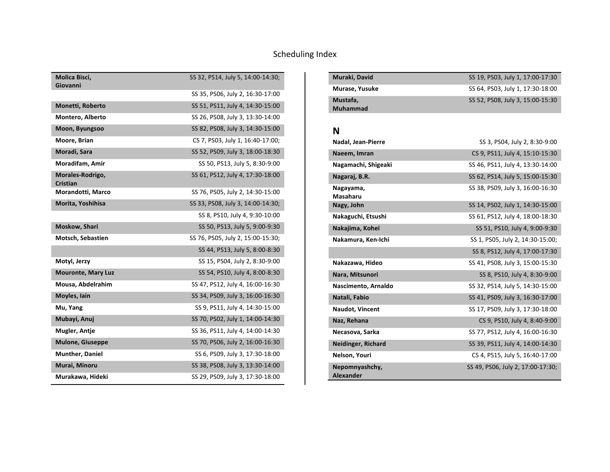| Molica Bisci,<br>Giovanni           | SS 32, PS14, July 5, 14:00-14:30; |
|-------------------------------------|-----------------------------------|
|                                     | SS 35, PS06, July 2, 16:30-17:00  |
| Monetti, Roberto                    | SS 51, PS11, July 4, 14:30-15:00  |
| Montero, Alberto                    | SS 26, PS08, July 3, 13:30-14:00  |
| Moon, Byungsoo                      | SS 82, PS08, July 3, 14:30-15:00  |
| Moore, Brian                        | CS 7, PS03, July 1, 16:40-17:00;  |
| Moradi, Sara                        | SS 52, PS09, July 3, 18:00-18:30  |
| Moradifam, Amir                     | SS 50, PS13, July 5, 8:30-9:00    |
| Morales-Rodrigo,<br><b>Cristian</b> | SS 61, PS12, July 4, 17:30-18:00  |
| Morandotti, Marco                   | SS 76, PS05, July 2, 14:30-15:00  |
| Morita, Yoshihisa                   | SS 33, PS08, July 3, 14:00-14:30; |
|                                     | SS 8, PS10, July 4, 9:30-10:00    |
| Moskow, Shari                       | SS 50, PS13, July 5, 9:00-9:30    |
| Motsch, Sebastien                   | SS 76, PS05, July 2, 15:00-15:30; |
|                                     | SS 44, PS13, July 5, 8:00-8:30    |
| Motyl, Jerzy                        | SS 15, PS04, July 2, 8:30-9:00    |
| <b>Mouronte, Mary Luz</b>           | SS 54, PS10, July 4, 8:00-8:30    |
| Mousa, Abdelrahim                   | SS 47, PS12, July 4, 16:00-16:30  |
| Moyles, Iain                        | SS 34, PS09, July 3, 16:00-16:30  |
| Mu, Yang                            | SS 9, PS11, July 4, 14:30-15:00   |
| Mubayi, Anuj                        | SS 70, PS02, July 1, 14:00-14:30  |
| Mugler, Antje                       | SS 36, PS11, July 4, 14:00-14:30  |
| <b>Mulone, Giuseppe</b>             | SS 70, PS06, July 2, 16:00-16:30  |
| <b>Munther, Daniel</b>              | SS 6, PS09, July 3, 17:30-18:00   |
| Murai, Minoru                       | SS 38, PS08, July 3, 13:30-14:00  |
| Murakawa, Hideki                    | SS 29, PS09, July 3, 17:30-18:00  |

| Muraki, David               | SS 19, PS03, July 1, 17:00-17:30 |
|-----------------------------|----------------------------------|
| Murase, Yusuke              | SS 64, PS03, July 1, 17:30-18:00 |
| Mustafa,<br><b>Muhammad</b> | SS 52, PS08, July 3, 15:00-15:30 |

#### **N**

| Nadal, Jean-Pierre                 | SS 3, PS04, July 2, 8:30-9:00     |
|------------------------------------|-----------------------------------|
| Naeem, Imran                       | CS 9, PS11, July 4, 15:10-15:30   |
| Nagamachi, Shigeaki                | SS 46, PS11, July 4, 13:30-14:00  |
| Nagaraj, B.R.                      | SS 62, PS14, July 5, 15:00-15:30  |
| Nagayama,<br>Masaharu              | SS 38, PS09, July 3, 16:00-16:30  |
| Nagy, John                         | SS 14, PS02, July 1, 14:30-15:00  |
| Nakaguchi, Etsushi                 | SS 61, PS12, July 4, 18:00-18:30  |
| Nakajima, Kohei                    | SS 51, PS10, July 4, 9:00-9:30    |
| Nakamura, Ken-Ichi                 | SS 1, PS05, July 2, 14:30-15:00;  |
|                                    | SS 8, PS12, July 4, 17:00-17:30   |
| Nakazawa, Hideo                    | SS 41, PS08, July 3, 15:00-15:30  |
| Nara, Mitsunori                    | SS 8, PS10, July 4, 8:30-9:00     |
| Nascimento, Arnaldo                | SS 32, PS14, July 5, 14:30-15:00  |
| Natali, Fabio                      | SS 41, PS09, July 3, 16:30-17:00  |
| Naudot, Vincent                    | SS 17, PS09, July 3, 17:30-18:00  |
| Naz, Rehana                        | CS 9, PS10, July 4, 8:40-9:00     |
| Necasova, Sarka                    | SS 77, PS12, July 4, 16:00-16:30  |
| <b>Neidinger, Richard</b>          | SS 39, PS11, July 4, 14:00-14:30  |
| Nelson, Youri                      | CS 4, PS15, July 5, 16:40-17:00   |
| Nepomnyashchy,<br><b>Alexander</b> | SS 49, PS06, July 2, 17:00-17:30; |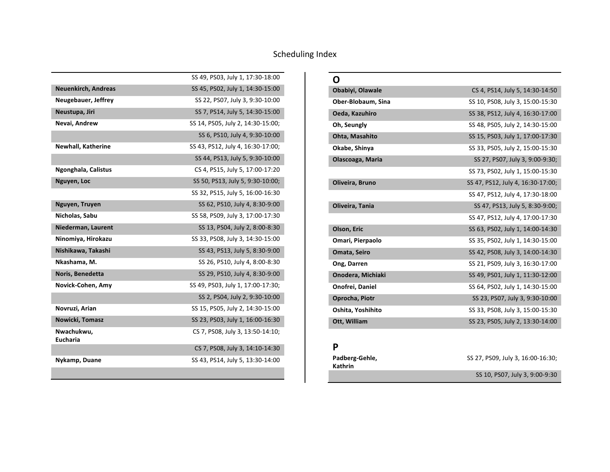|                               | SS 49, PS03, July 1, 17:30-18:00  |
|-------------------------------|-----------------------------------|
| <b>Neuenkirch, Andreas</b>    | SS 45, PS02, July 1, 14:30-15:00  |
| Neugebauer, Jeffrey           | SS 22, PS07, July 3, 9:30-10:00   |
| Neustupa, Jiri                | SS 7, PS14, July 5, 14:30-15:00   |
| Nevai, Andrew                 | SS 14, PS05, July 2, 14:30-15:00; |
|                               | SS 6, PS10, July 4, 9:30-10:00    |
| <b>Newhall, Katherine</b>     | SS 43, PS12, July 4, 16:30-17:00; |
|                               | SS 44, PS13, July 5, 9:30-10:00   |
| Ngonghala, Calistus           | CS 4, PS15, July 5, 17:00-17:20   |
| Nguyen, Loc                   | SS 50, PS13, July 5, 9:30-10:00;  |
|                               | SS 32, PS15, July 5, 16:00-16:30  |
| Nguyen, Truyen                | SS 62, PS10, July 4, 8:30-9:00    |
| Nicholas, Sabu                | SS 58, PS09, July 3, 17:00-17:30  |
| Niederman, Laurent            | SS 13, PS04, July 2, 8:00-8:30    |
| Ninomiya, Hirokazu            | SS 33, PS08, July 3, 14:30-15:00  |
| Nishikawa, Takashi            | SS 43, PS13, July 5, 8:30-9:00    |
| Nkashama, M.                  | SS 26, PS10, July 4, 8:00-8:30    |
| Noris, Benedetta              | SS 29, PS10, July 4, 8:30-9:00    |
| Novick-Cohen, Amy             | SS 49, PS03, July 1, 17:00-17:30; |
|                               | SS 2, PS04, July 2, 9:30-10:00    |
| Novruzi, Arian                | SS 15, PS05, July 2, 14:30-15:00  |
| Nowicki, Tomasz               | SS 23, PS03, July 1, 16:00-16:30  |
| Nwachukwu,<br><b>Eucharia</b> | CS 7, PS08, July 3, 13:50-14:10;  |
|                               | CS 7, PS08, July 3, 14:10-14:30   |
| Nykamp, Duane                 | SS 43, PS14, July 5, 13:30-14:00  |
|                               |                                   |

| N                  |                                   |
|--------------------|-----------------------------------|
| Obabiyi, Olawale   | CS 4, PS14, July 5, 14:30-14:50   |
| Ober-Blobaum, Sina | SS 10, PS08, July 3, 15:00-15:30  |
| Oeda, Kazuhiro     | SS 38, PS12, July 4, 16:30-17:00  |
| Oh, Seungly        | SS 48, PS05, July 2, 14:30-15:00  |
| Ohta, Masahito     | SS 15, PS03, July 1, 17:00-17:30  |
| Okabe, Shinya      | SS 33, PS05, July 2, 15:00-15:30  |
| Olascoaga, Maria   | SS 27, PS07, July 3, 9:00-9:30;   |
|                    | SS 73, PS02, July 1, 15:00-15:30  |
| Oliveira, Bruno    | SS 47, PS12, July 4, 16:30-17:00; |
|                    | SS 47, PS12, July 4, 17:30-18:00  |
| Oliveira, Tania    | SS 47, PS13, July 5, 8:30-9:00;   |
|                    | SS 47, PS12, July 4, 17:00-17:30  |
| Olson, Eric        | SS 63, PS02, July 1, 14:00-14:30  |
| Omari, Pierpaolo   | SS 35, PS02, July 1, 14:30-15:00  |
| Omata, Seiro       | SS 42, PS08, July 3, 14:00-14:30  |
| Ong, Darren        | SS 21, PS09, July 3, 16:30-17:00  |
| Onodera, Michiaki  | SS 49, PS01, July 1, 11:30-12:00  |
| Onofrei, Daniel    | SS 64, PS02, July 1, 14:30-15:00  |
| Oprocha, Piotr     | SS 23, PS07, July 3, 9:30-10:00   |
| Oshita, Yoshihito  | SS 33, PS08, July 3, 15:00-15:30  |
| Ott, William       | SS 23, PS05, July 2, 13:30-14:00  |

#### **P**

| Padberg-Gehle, | SS 27, PS09, July 3, 16:00-16:30; |
|----------------|-----------------------------------|
| <b>Kathrin</b> |                                   |
|                | SS 10, PS07, July 3, 9:00-9:30    |
|                |                                   |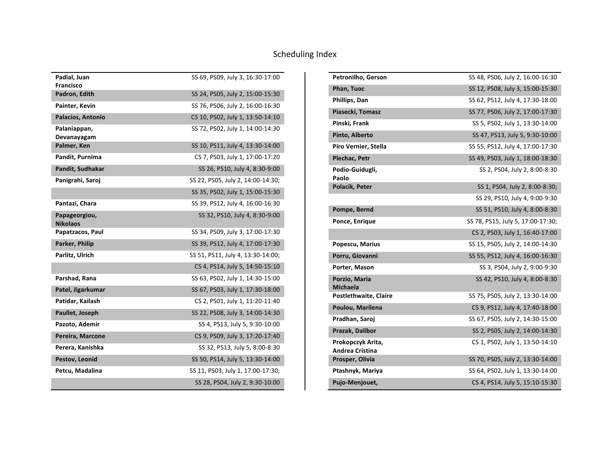| Padial, Juan<br><b>Francisco</b> | SS 69, PS09, July 3, 16:30-17:00  |
|----------------------------------|-----------------------------------|
| Padron, Edith                    | SS 24, PS05, July 2, 15:00-15:30  |
| Painter, Kevin                   | SS 76, PS06, July 2, 16:00-16:30  |
| Palacios, Antonio                | CS 10, PS02, July 1, 13:50-14:10  |
|                                  | SS 72, PS02, July 1, 14:00-14:30  |
| Palaniappan,<br>Devanayagam      |                                   |
| Palmer, Ken                      | SS 10, PS11, July 4, 13:30-14:00  |
| Pandit, Purnima                  | CS 7, PS03, July 1, 17:00-17:20   |
| Pandit, Sudhakar                 | SS 26, PS10, July 4, 8:30-9:00    |
| Panigrahi, Saroj                 | SS 22, PS05, July 2, 14:00-14:30; |
|                                  | SS 35, PS02, July 1, 15:00-15:30  |
| Pantazi, Chara                   | SS 39, PS12, July 4, 16:00-16:30  |
| Papageorgiou,<br><b>Nikolaos</b> | SS 32, PS10, July 4, 8:30-9:00    |
| Papatzacos, Paul                 | SS 34, PS09, July 3, 17:00-17:30  |
| Parker, Philip                   | SS 39, PS12, July 4, 17:00-17:30  |
| Parlitz, Ulrich                  | SS 51, PS11, July 4, 13:30-14:00; |
|                                  | CS 4, PS14, July 5, 14:50-15:10   |
| Parshad, Rana                    | SS 63, PS02, July 1, 14:30-15:00  |
| Patel, Jigarkumar                | SS 67, PS03, July 1, 17:30-18:00  |
| Patidar, Kailash                 | CS 2, PS01, July 1, 11:20-11:40   |
| Paullet, Joseph                  | SS 22, PS08, July 3, 14:00-14:30  |
| Pazoto, Ademir                   | SS 4, PS13, July 5, 9:30-10:00    |
| Pereira, Marcone                 | CS 9, PS09, July 3, 17:20-17:40   |
| Perera, Kanishka                 | SS 32, PS13, July 5, 8:00-8:30    |
| Pestov, Leonid                   | SS 50, PS14, July 5, 13:30-14:00  |
| Petcu, Madalina                  | SS 11, PS03, July 1, 17:00-17:30; |
|                                  | SS 28, PS04, July 2, 9:30-10:00   |

| Petronilho, Gerson                          | SS 48, PS06, July 2, 16:00-16:30  |
|---------------------------------------------|-----------------------------------|
| Phan, Tuoc                                  | SS 12, PS08, July 3, 15:00-15:30  |
| Phillips, Dan                               | SS 62, PS12, July 4, 17:30-18:00  |
| Piasecki, Tomasz                            | SS 77, PS06, July 2, 17:00-17:30  |
| Pinski, Frank                               | SS 5, PS02, July 1, 13:30-14:00   |
| Pinto, Alberto                              | SS 47, PS13, July 5, 9:30-10:00   |
| Piro Vernier, Stella                        | SS 55, PS12, July 4, 17:00-17:30  |
| Plechac, Petr                               | SS 49, PS03, July 1, 18:00-18:30  |
| Podio-Guidugli,<br>Paolo                    | SS 2, PS04, July 2, 8:00-8:30     |
| Polacik, Peter                              | SS 1, PS04, July 2, 8:00-8:30;    |
|                                             | SS 29, PS10, July 4, 9:00-9:30    |
| Pompe, Bernd                                | SS 51, PS10, July 4, 8:00-8:30    |
| Ponce, Enrique                              | SS 78, PS15, July 5, 17:00-17:30; |
|                                             | CS 2, PS03, July 1, 16:40-17:00   |
| Popescu, Marius                             | SS 15, PS05, July 2, 14:00-14:30  |
| Porru, Giovanni                             | SS 55, PS12, July 4, 16:00-16:30  |
| Porter, Mason                               | SS 3, PS04, July 2, 9:00-9:30     |
| Porzio, Maria<br>Michaela                   | SS 42, PS10, July 4, 8:00-8:30    |
| Postlethwaite, Claire                       | SS 75, PS05, July 2, 13:30-14:00  |
| Poulou, Marilena                            | CS 9, PS12, July 4, 17:40-18:00   |
| Pradhan, Saroj                              | SS 67, PS05, July 2, 14:30-15:00  |
| Prazak, Dalibor                             | SS 2, PS05, July 2, 14:00-14:30   |
| Prokopczyk Arita,<br><b>Andrea Cristina</b> | CS 1, PS02, July 1, 13:50-14:10   |
| Prosper, Olivia                             | SS 70, PS05, July 2, 13:30-14:00  |
| Ptashnyk, Mariya                            | SS 64, PS02, July 1, 13:30-14:00  |
| Pujo-Menjouet,                              | CS 4, PS14, July 5, 15:10-15:30   |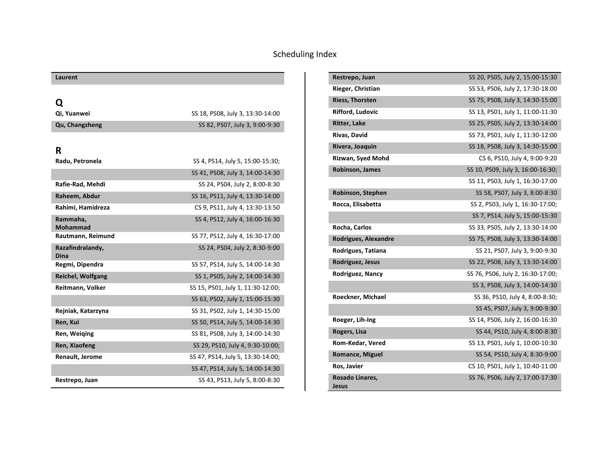| Laurent                  |                                   |
|--------------------------|-----------------------------------|
|                          |                                   |
| Q                        |                                   |
| Qi, Yuanwei              | SS 18, PS08, July 3, 13:30-14:00  |
| Qu, Changzheng           | SS 82, PS07, July 3, 9:00-9:30    |
|                          |                                   |
| R                        |                                   |
| Radu, Petronela          | SS 4, PS14, July 5, 15:00-15:30;  |
|                          | SS 41, PS08, July 3, 14:00-14:30  |
| Rafie-Rad, Mehdi         | SS 24, PS04, July 2, 8:00-8:30    |
| Raheem, Abdur            | SS 16, PS11, July 4, 13:30-14:00  |
| Rahimi, Hamidreza        | CS 9, PS11, July 4, 13:30-13:50   |
| Rammaha.                 | SS 4, PS12, July 4, 16:00-16:30   |
| Mohammad                 |                                   |
| Rautmann, Reimund        | SS 77, PS12, July 4, 16:30-17:00  |
| Razafindralandy,<br>Dina | SS 24, PS04, July 2, 8:30-9:00    |
| Regmi, Dipendra          | SS 57, PS14, July 5, 14:00-14:30  |
| <b>Reichel, Wolfgang</b> | SS 1, PS05, July 2, 14:00-14:30   |
| Reitmann, Volker         | SS 15, PS01, July 1, 11:30-12:00; |
|                          | SS 63, PS02, July 1, 15:00-15:30  |
| Rejniak, Katarzyna       | SS 31, PS02, July 1, 14:30-15:00  |
| Ren, Kui                 | SS 50, PS14, July 5, 14:00-14:30  |
| Ren, Weiging             | SS 81, PS08, July 3, 14:00-14:30  |
| Ren, Xiaofeng            | SS 29, PS10, July 4, 9:30-10:00;  |
| Renault, Jerome          | SS 47, PS14, July 5, 13:30-14:00; |
|                          | SS 47, PS14, July 5, 14:00-14:30  |
| Restrepo, Juan           | SS 43, PS13, July 5, 8:00-8:30    |

| Restrepo, Juan           | SS 20, PS05, July 2, 15:00-15:30  |
|--------------------------|-----------------------------------|
| Rieger, Christian        | SS 53, PS06, July 2, 17:30-18:00  |
| <b>Riess, Thorsten</b>   | SS 75, PS08, July 3, 14:30-15:00  |
| Rifford, Ludovic         | SS 13, PS01, July 1, 11:00-11:30  |
| <b>Ritter, Lake</b>      | SS 25, PS05, July 2, 13:30-14:00  |
| Rivas, David             | SS 73, PS01, July 1, 11:30-12:00  |
| Rivera, Joaquin          | SS 18, PS08, July 3, 14:30-15:00  |
| Rizwan, Syed Mohd        | CS 6, PS10, July 4, 9:00-9:20     |
| <b>Robinson, James</b>   | SS 10, PS09, July 3, 16:00-16:30; |
|                          | SS 11, PS03, July 1, 16:30-17:00  |
| Robinson, Stephen        | SS 58, PS07, July 3, 8:00-8:30    |
| Rocca, Elisabetta        | SS 2, PS03, July 1, 16:30-17:00;  |
|                          | SS 7, PS14, July 5, 15:00-15:30   |
| Rocha, Carlos            | SS 33, PS05, July 2, 13:30-14:00  |
| Rodrigues, Alexandre     | SS 75, PS08, July 3, 13:30-14:00  |
| Rodrigues, Tatiana       | SS 21, PS07, July 3, 9:00-9:30    |
| Rodriguez, Jesus         | SS 22, PS08, July 3, 13:30-14:00  |
| Rodriguez, Nancy         | SS 76, PS06, July 2, 16:30-17:00; |
|                          | SS 3, PS08, July 3, 14:00-14:30   |
| Roeckner, Michael        | SS 36, PS10, July 4, 8:00-8:30;   |
|                          | SS 45, PS07, July 3, 9:00-9:30    |
| Roeger, Lih-Ing          | SS 14, PS06, July 2, 16:00-16:30  |
| Rogers, Lisa             | SS 44, PS10, July 4, 8:00-8:30    |
| Rom-Kedar, Vered         | SS 13, PS01, July 1, 10:00-10:30  |
| Romance, Miguel          | SS 54, PS10, July 4, 8:30-9:00    |
| Ros, Javier              | CS 10, PS01, July 1, 10:40-11:00  |
| Rosado Linares,<br>Jesus | SS 76, PS06, July 2, 17:00-17:30  |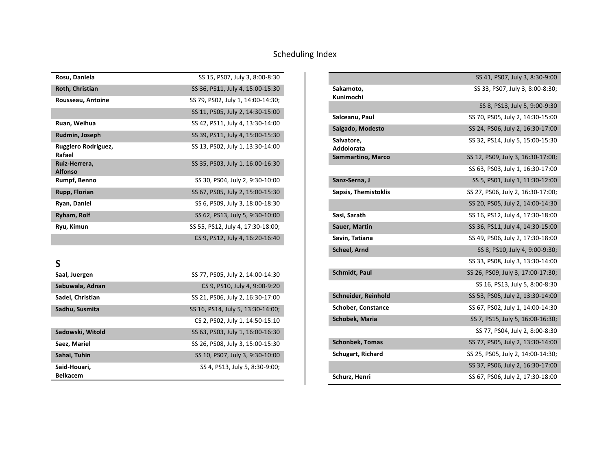| Rosu, Daniela                   | SS 15, PS07, July 3, 8:00-8:30    |
|---------------------------------|-----------------------------------|
| Roth, Christian                 | SS 36, PS11, July 4, 15:00-15:30  |
| Rousseau, Antoine               | SS 79, PS02, July 1, 14:00-14:30; |
|                                 | SS 11, PS05, July 2, 14:30-15:00  |
| Ruan, Weihua                    | SS 42, PS11, July 4, 13:30-14:00  |
| Rudmin, Joseph                  | SS 39, PS11, July 4, 15:00-15:30  |
| Ruggiero Rodriguez,<br>Rafael   | SS 13, PS02, July 1, 13:30-14:00  |
| Ruiz-Herrera,<br><b>Alfonso</b> | SS 35, PS03, July 1, 16:00-16:30  |
| Rumpf, Benno                    | SS 30, PS04, July 2, 9:30-10:00   |
| Rupp, Florian                   | SS 67, PS05, July 2, 15:00-15:30  |
| Ryan, Daniel                    | SS 6, PS09, July 3, 18:00-18:30   |
| <b>Ryham, Rolf</b>              | SS 62, PS13, July 5, 9:30-10:00   |
| Ryu, Kimun                      | SS 55, PS12, July 4, 17:30-18:00; |
|                                 | CS 9, PS12, July 4, 16:20-16:40   |

**S**

| Saal, Juergen    | SS 77, PS05, July 2, 14:00-14:30  |
|------------------|-----------------------------------|
| Sabuwala, Adnan  | CS 9, PS10, July 4, 9:00-9:20     |
| Sadel, Christian | SS 21, PS06, July 2, 16:30-17:00  |
| Sadhu, Susmita   | SS 16, PS14, July 5, 13:30-14:00; |
|                  | CS 2, PS02, July 1, 14:50-15:10   |
| Sadowski, Witold | SS 63, PS03, July 1, 16:00-16:30  |
| Saez, Mariel     | SS 26, PS08, July 3, 15:00-15:30  |
| Sahai, Tuhin     | SS 10, PS07, July 3, 9:30-10:00   |
| Said-Houari.     | SS 4, PS13, July 5, 8:30-9:00;    |
| <b>Belkacem</b>  |                                   |

|                             | SS 41, PS07, July 3, 8:30-9:00    |
|-----------------------------|-----------------------------------|
| Sakamoto,                   | SS 33, PS07, July 3, 8:00-8:30;   |
| Kunimochi                   |                                   |
|                             | SS 8, PS13, July 5, 9:00-9:30     |
| Salceanu, Paul              | SS 70, PS05, July 2, 14:30-15:00  |
| Salgado, Modesto            | SS 24, PS06, July 2, 16:30-17:00  |
| Salvatore,<br>Addolorata    | SS 32, PS14, July 5, 15:00-15:30  |
| Sammartino, Marco           | SS 12, PS09, July 3, 16:30-17:00; |
|                             | SS 63, PS03, July 1, 16:30-17:00  |
| Sanz-Serna, J               | SS 5, PS01, July 1, 11:30-12:00   |
| <b>Sapsis, Themistoklis</b> | SS 27, PS06, July 2, 16:30-17:00; |
|                             | SS 20, PS05, July 2, 14:00-14:30  |
| Sasi, Sarath                | SS 16, PS12, July 4, 17:30-18:00  |
| Sauer, Martin               | SS 36, PS11, July 4, 14:30-15:00  |
| Savin, Tatiana              | SS 49, PS06, July 2, 17:30-18:00  |
| <b>Scheel, Arnd</b>         | SS 8, PS10, July 4, 9:00-9:30;    |
|                             | SS 33, PS08, July 3, 13:30-14:00  |
| <b>Schmidt, Paul</b>        | SS 26, PS09, July 3, 17:00-17:30; |
|                             | SS 16, PS13, July 5, 8:00-8:30    |
| Schneider, Reinhold         | SS 53, PS05, July 2, 13:30-14:00  |
| <b>Schober, Constance</b>   | SS 67, PS02, July 1, 14:00-14:30  |
| <b>Schobek, Maria</b>       | SS 7, PS15, July 5, 16:00-16:30;  |
|                             | SS 77, PS04, July 2, 8:00-8:30    |
| <b>Schonbek, Tomas</b>      | SS 77, PS05, July 2, 13:30-14:00  |
| <b>Schugart, Richard</b>    | SS 25, PS05, July 2, 14:00-14:30; |
|                             | SS 37, PS06, July 2, 16:30-17:00  |
| Schurz, Henri               | SS 67, PS06, July 2, 17:30-18:00  |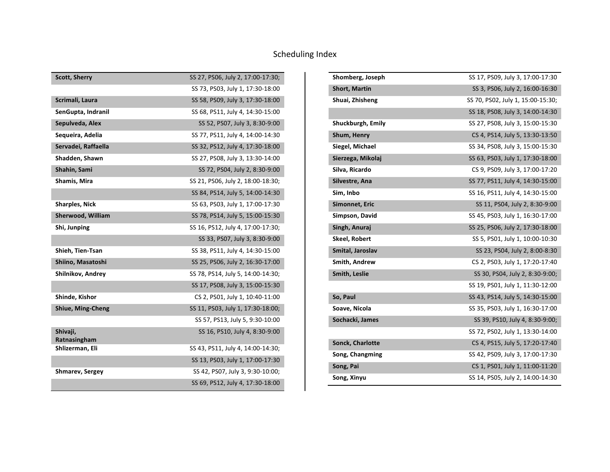| <b>Scott, Sherry</b>     | SS 27, PS06, July 2, 17:00-17:30; |
|--------------------------|-----------------------------------|
|                          | SS 73, PS03, July 1, 17:30-18:00  |
| Scrimali, Laura          | SS 58, PS09, July 3, 17:30-18:00  |
| SenGupta, Indranil       | SS 68, PS11, July 4, 14:30-15:00  |
| Sepulveda, Alex          | SS 52, PS07, July 3, 8:30-9:00    |
| Sequeira, Adelia         | SS 77, PS11, July 4, 14:00-14:30  |
| Servadei, Raffaella      | SS 32, PS12, July 4, 17:30-18:00  |
| Shadden, Shawn           | SS 27, PS08, July 3, 13:30-14:00  |
| Shahin, Sami             | SS 72, PS04, July 2, 8:30-9:00    |
| Shamis, Mira             | SS 21, PS06, July 2, 18:00-18:30; |
|                          | SS 84, PS14, July 5, 14:00-14:30  |
| <b>Sharples, Nick</b>    | SS 63, PS03, July 1, 17:00-17:30  |
| Sherwood, William        | SS 78, PS14, July 5, 15:00-15:30  |
| Shi, Junping             | SS 16, PS12, July 4, 17:00-17:30; |
|                          | SS 33, PS07, July 3, 8:30-9:00    |
| Shieh, Tien-Tsan         | SS 38, PS11, July 4, 14:30-15:00  |
| Shiino, Masatoshi        | SS 25, PS06, July 2, 16:30-17:00  |
| Shilnikov, Andrey        | SS 78, PS14, July 5, 14:00-14:30; |
|                          | SS 17, PS08, July 3, 15:00-15:30  |
| Shinde, Kishor           | CS 2, PS01, July 1, 10:40-11:00   |
| <b>Shiue, Ming-Cheng</b> | SS 11, PS03, July 1, 17:30-18:00; |
|                          | SS 57, PS13, July 5, 9:30-10:00   |
| Shivaji,<br>Ratnasingham | SS 16, PS10, July 4, 8:30-9:00    |
| Shlizerman, Eli          | SS 43, PS11, July 4, 14:00-14:30; |
|                          | SS 13, PS03, July 1, 17:00-17:30  |
| Shmarev, Sergey          | SS 42, PS07, July 3, 9:30-10:00;  |
|                          | SS 69, PS12, July 4, 17:30-18:00  |

| Shomberg, Joseph        | SS 17, PS09, July 3, 17:00-17:30  |
|-------------------------|-----------------------------------|
| <b>Short, Martin</b>    | SS 3, PS06, July 2, 16:00-16:30   |
| Shuai, Zhisheng         | SS 70, PS02, July 1, 15:00-15:30; |
|                         | SS 18, PS08, July 3, 14:00-14:30  |
| Shuckburgh, Emily       | SS 27, PS08, July 3, 15:00-15:30  |
| Shum, Henry             | CS 4, PS14, July 5, 13:30-13:50   |
| Siegel, Michael         | SS 34, PS08, July 3, 15:00-15:30  |
| Sierzega, Mikolaj       | SS 63, PS03, July 1, 17:30-18:00  |
| Silva, Ricardo          | CS 9, PS09, July 3, 17:00-17:20   |
| Silvestre, Ana          | SS 77, PS11, July 4, 14:30-15:00  |
| Sim, Inbo               | SS 16, PS11, July 4, 14:30-15:00  |
| Simonnet, Eric          | SS 11, PS04, July 2, 8:30-9:00    |
| Simpson, David          | SS 45, PS03, July 1, 16:30-17:00  |
| Singh, Anuraj           | SS 25, PS06, July 2, 17:30-18:00  |
| Skeel, Robert           | SS 5, PS01, July 1, 10:00-10:30   |
| Smital, Jaroslav        | SS 23, PS04, July 2, 8:00-8:30    |
| Smith, Andrew           | CS 2, PS03, July 1, 17:20-17:40   |
| Smith, Leslie           | SS 30, PS04, July 2, 8:30-9:00;   |
|                         | SS 19, PS01, July 1, 11:30-12:00  |
| So, Paul                | SS 43, PS14, July 5, 14:30-15:00  |
| Soave, Nicola           | SS 35, PS03, July 1, 16:30-17:00  |
| Sochacki, James         | SS 39, PS10, July 4, 8:30-9:00;   |
|                         | SS 72, PS02, July 1, 13:30-14:00  |
| <b>Sonck, Charlotte</b> | CS 4, PS15, July 5, 17:20-17:40   |
| Song, Changming         | SS 42, PS09, July 3, 17:00-17:30  |
| Song, Pai               | CS 1, PS01, July 1, 11:00-11:20   |
| Song, Xinyu             | SS 14, PS05, July 2, 14:00-14:30  |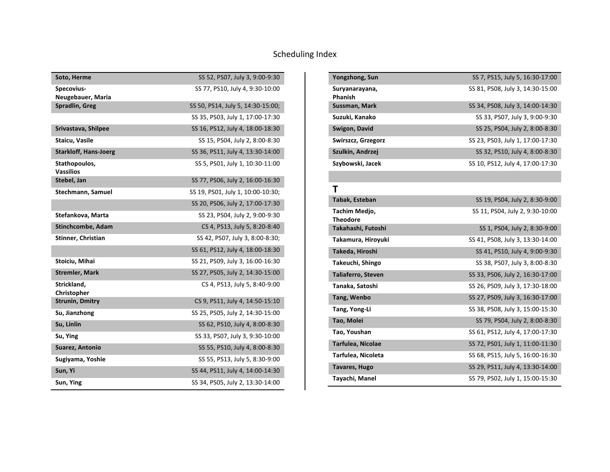| Soto, Herme                       | SS 52, PS07, July 3, 9:00-9:30    |
|-----------------------------------|-----------------------------------|
| Specovius-<br>Neugebauer, Maria   | SS 77, PS10, July 4, 9:30-10:00   |
| Spradlin, Greg                    | SS 50, PS14, July 5, 14:30-15:00; |
|                                   | SS 35, PS03, July 1, 17:00-17:30  |
| Srivastava, Shilpee               | SS 16, PS12, July 4, 18:00-18:30  |
| Staicu, Vasile                    | SS 15, PS04, July 2, 8:00-8:30    |
| <b>Starkloff, Hans-Joerg</b>      | SS 36, PS11, July 4, 13:30-14:00  |
| Stathopoulos,<br><b>Vassilios</b> | SS 5, PS01, July 1, 10:30-11:00   |
| Stebel, Jan                       | SS 77, PS06, July 2, 16:00-16:30  |
| Stechmann, Samuel                 | SS 19, PS01, July 1, 10:00-10:30; |
|                                   | SS 20, PS06, July 2, 17:00-17:30  |
| Stefankova, Marta                 | SS 23, PS04, July 2, 9:00-9:30    |
| Stinchcombe, Adam                 | CS 4, PS13, July 5, 8:20-8:40     |
| Stinner, Christian                | SS 42, PS07, July 3, 8:00-8:30;   |
|                                   | SS 61, PS12, July 4, 18:00-18:30  |
| Stoiciu, Mihai                    | SS 21, PS09, July 3, 16:00-16:30  |
| <b>Stremler, Mark</b>             | SS 27, PS05, July 2, 14:30-15:00  |
| Strickland,<br>Christopher        | CS 4, PS13, July 5, 8:40-9:00     |
| <b>Strunin, Dmitry</b>            | CS 9, PS11, July 4, 14:50-15:10   |
| Su, Jianzhong                     | SS 25, PS05, July 2, 14:30-15:00  |
| Su, Linlin                        | SS 62, PS10, July 4, 8:00-8:30    |
| Su, Ying                          | SS 33, PS07, July 3, 9:30-10:00   |
| Suarez, Antonio                   | SS 55, PS10, July 4, 8:00-8:30    |
| Sugiyama, Yoshie                  | SS 55, PS13, July 5, 8:30-9:00    |
| Sun, Yi                           | SS 44, PS11, July 4, 14:00-14:30  |
| Sun, Ying                         | SS 34, PS05, July 2, 13:30-14:00  |

| Yongzhong, Sun                   | SS 7, PS15, July 5, 16:30-17:00  |
|----------------------------------|----------------------------------|
| Suryanarayana,<br>Phanish        | SS 81, PS08, July 3, 14:30-15:00 |
| Sussman, Mark                    | SS 34, PS08, July 3, 14:00-14:30 |
| Suzuki, Kanako                   | SS 33, PS07, July 3, 9:00-9:30   |
| Swigon, David                    | SS 25, PS04, July 2, 8:00-8:30   |
| Swirszcz, Grzegorz               | SS 23, PS03, July 1, 17:00-17:30 |
| Szulkin, Andrzej                 | SS 32, PS10, July 4, 8:00-8:30   |
| Szybowski, Jacek                 | SS 10, PS12, July 4, 17:00-17:30 |
|                                  |                                  |
| T                                |                                  |
| <b>Tabak, Esteban</b>            | SS 19, PS04, July 2, 8:30-9:00   |
| Tachim Medio,<br><b>Theodore</b> | SS 11, PS04, July 2, 9:30-10:00  |
| Takahashi, Futoshi               | SS 1, PS04, July 2, 8:30-9:00    |
| Takamura, Hiroyuki               | SS 41, PS08, July 3, 13:30-14:00 |
| Takeda, Hiroshi                  | SS 41, PS10, July 4, 9:00-9:30   |
| Takeuchi, Shingo                 | SS 38, PS07, July 3, 8:00-8:30   |
| <b>Taliaferro, Steven</b>        | SS 33, PS06, July 2, 16:30-17:00 |
| Tanaka, Satoshi                  | SS 26, PS09, July 3, 17:30-18:00 |
| Tang, Wenbo                      | SS 27, PS09, July 3, 16:30-17:00 |
| Tang, Yong-Li                    | SS 38, PS08, July 3, 15:00-15:30 |
| Tao, Molei                       | SS 79, PS04, July 2, 8:00-8:30   |
| Tao, Youshan                     | SS 61, PS12, July 4, 17:00-17:30 |
| Tarfulea, Nicolae                | SS 72, PS01, July 1, 11:00-11:30 |
| Tarfulea, Nicoleta               | SS 68, PS15, July 5, 16:00-16:30 |
| Tavares, Hugo                    | SS 29, PS11, July 4, 13:30-14:00 |
| Tayachi, Manel                   | SS 79, PS02, July 1, 15:00-15:30 |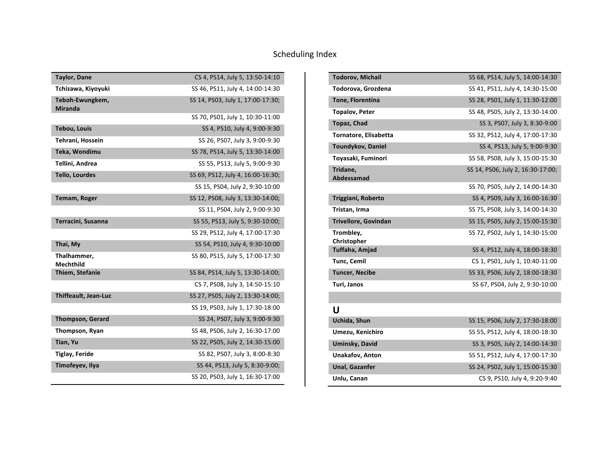| <b>Taylor, Dane</b>               | CS 4, PS14, July 5, 13:50-14:10   |
|-----------------------------------|-----------------------------------|
| Tchizawa, Kiyoyuki                | SS 46, PS11, July 4, 14:00-14:30  |
| Teboh-Ewungkem,<br><b>Miranda</b> | SS 14, PS03, July 1, 17:00-17:30; |
|                                   | SS 70, PS01, July 1, 10:30-11:00  |
| <b>Tebou, Louis</b>               | SS 4, PS10, July 4, 9:00-9:30     |
| Tehrani, Hossein                  | SS 26, PS07, July 3, 9:00-9:30    |
| Teka, Wondimu                     | SS 78, PS14, July 5, 13:30-14:00  |
| Tellini, Andrea                   | SS 55, PS13, July 5, 9:00-9:30    |
| <b>Tello, Lourdes</b>             | SS 69, PS12, July 4, 16:00-16:30; |
|                                   | SS 15, PS04, July 2, 9:30-10:00   |
| Temam, Roger                      | SS 12, PS08, July 3, 13:30-14:00; |
|                                   | SS 11, PS04, July 2, 9:00-9:30    |
| Terracini, Susanna                | SS 55, PS13, July 5, 9:30-10:00;  |
|                                   | SS 29, PS12, July 4, 17:00-17:30  |
| Thai, My                          | SS 54, PS10, July 4, 9:30-10:00   |
| Thalhammer,<br><b>Mechthild</b>   | SS 80, PS15, July 5, 17:00-17:30  |
| Thiem, Stefanie                   | SS 84, PS14, July 5, 13:30-14:00; |
|                                   | CS 7, PS08, July 3, 14:50-15:10   |
| <b>Thiffeault, Jean-Luc</b>       | SS 27, PS05, July 2, 13:30-14:00; |
|                                   | SS 19, PS03, July 1, 17:30-18:00  |
| <b>Thompson, Gerard</b>           | SS 24, PS07, July 3, 9:00-9:30    |
| Thompson, Ryan                    | SS 48, PS06, July 2, 16:30-17:00  |
| Tian, Yu                          | SS 22, PS05, July 2, 14:30-15:00  |
| <b>Tiglay, Feride</b>             | SS 82, PS07, July 3, 8:00-8:30    |
| Timofeyev, Ilya                   | SS 44, PS13, July 5, 8:30-9:00;   |
|                                   | SS 20, PS03, July 1, 16:30-17:00  |

| <b>Todorov, Michail</b>      | SS 68, PS14, July 5, 14:00-14:30  |
|------------------------------|-----------------------------------|
| Todorova, Grozdena           | SS 41, PS11, July 4, 14:30-15:00  |
| Tone, Florentina             | SS 28, PS01, July 1, 11:30-12:00  |
| <b>Topalov, Peter</b>        | SS 48, PS05, July 2, 13:30-14:00  |
| <b>Topaz, Chad</b>           | SS 3, PS07, July 3, 8:30-9:00     |
| <b>Tornatore, Elisabetta</b> | SS 32, PS12, July 4, 17:00-17:30  |
| <b>Toundykov, Daniel</b>     | SS 4, PS13, July 5, 9:00-9:30     |
| Toyasaki, Fuminori           | SS 58, PS08, July 3, 15:00-15:30  |
| Tridane,<br>Abdessamad       | SS 14, PS06, July 2, 16:30-17:00; |
|                              | SS 70, PS05, July 2, 14:00-14:30  |
| Triggiani, Roberto           | SS 4, PS09, July 3, 16:00-16:30   |
| Tristan, Irma                | SS 75, PS08, July 3, 14:00-14:30  |
| <b>Trivellore, Govindan</b>  | SS 15, PS05, July 2, 15:00-15:30  |
| Tromblev,<br>Christopher     | SS 72, PS02, July 1, 14:30-15:00  |
| Tuffaha, Amjad               | SS 4, PS12, July 4, 18:00-18:30   |
| Tunc, Cemil                  | CS 1, PS01, July 1, 10:40-11:00   |
| <b>Tuncer, Necibe</b>        | SS 33, PS06, July 2, 18:00-18:30  |
| Turi, Janos                  | SS 67, PS04, July 2, 9:30-10:00   |
|                              |                                   |
| U                            |                                   |
| Uchida, Shun                 | SS 15, PS06, July 2, 17:30-18:00  |
| Umezu, Kenichiro             | SS 55, PS12, July 4, 18:00-18:30  |

| Umezu, Kenichiro | SS 55, PS12, July 4, 18:00-18:30 |
|------------------|----------------------------------|
| Uminsky, David   | SS 3, PS05, July 2, 14:00-14:30  |
| Unakafov, Anton  | SS 51, PS12, July 4, 17:00-17:30 |
| Unal, Gazanfer   | SS 24, PS02, July 1, 15:00-15:30 |
| Unlu, Canan      | CS 9, PS10, July 4, 9:20-9:40    |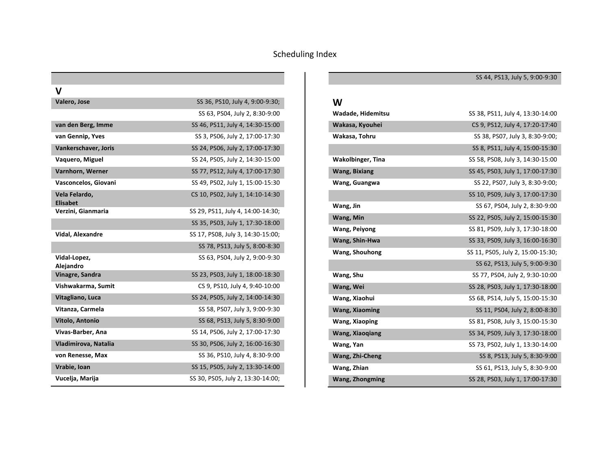| v                                |                                   |
|----------------------------------|-----------------------------------|
| Valero, Jose                     | SS 36, PS10, July 4, 9:00-9:30;   |
|                                  | SS 63, PS04, July 2, 8:30-9:00    |
| van den Berg, Imme               | SS 46, PS11, July 4, 14:30-15:00  |
| van Gennip, Yves                 | SS 3, PS06, July 2, 17:00-17:30   |
| Vankerschaver, Joris             | SS 24, PS06, July 2, 17:00-17:30  |
| Vaquero, Miguel                  | SS 24, PS05, July 2, 14:30-15:00  |
| Varnhorn, Werner                 | SS 77, PS12, July 4, 17:00-17:30  |
| Vasconcelos, Giovani             | SS 49, PS02, July 1, 15:00-15:30  |
| Vela Felardo,<br><b>Elisabet</b> | CS 10, PS02, July 1, 14:10-14:30  |
| Verzini, Gianmaria               | SS 29, PS11, July 4, 14:00-14:30; |
|                                  | SS 35, PS03, July 1, 17:30-18:00  |
| Vidal, Alexandre                 | SS 17, PS08, July 3, 14:30-15:00; |
|                                  | SS 78, PS13, July 5, 8:00-8:30    |
| Vidal-Lopez,<br>Alejandro        | SS 63, PS04, July 2, 9:00-9:30    |
| Vinagre, Sandra                  | SS 23, PS03, July 1, 18:00-18:30  |
| Vishwakarma, Sumit               | CS 9, PS10, July 4, 9:40-10:00    |
| Vitagliano, Luca                 | SS 24, PS05, July 2, 14:00-14:30  |
| Vitanza, Carmela                 | SS 58, PS07, July 3, 9:00-9:30    |
| Vitolo, Antonio                  | SS 68, PS13, July 5, 8:30-9:00    |
| Vivas-Barber, Ana                | SS 14, PS06, July 2, 17:00-17:30  |
| Vladimirova, Natalia             | SS 30, PS06, July 2, 16:00-16:30  |
| von Renesse, Max                 | SS 36, PS10, July 4, 8:30-9:00    |
| Vrabie, Ioan                     | SS 15, PS05, July 2, 13:30-14:00  |
| Vucelja, Marija                  | SS 30, PS05, July 2, 13:30-14:00; |

#### **W**

| Wadade, Hidemitsu        | SS 38, PS11, July 4, 13:30-14:00  |
|--------------------------|-----------------------------------|
| Wakasa, Kyouhei          | CS 9, PS12, July 4, 17:20-17:40   |
| Wakasa, Tohru            | SS 38, PS07, July 3, 8:30-9:00;   |
|                          | SS 8, PS11, July 4, 15:00-15:30   |
| <b>Wakolbinger, Tina</b> | SS 58, PS08, July 3, 14:30-15:00  |
| <b>Wang, Bixiang</b>     | SS 45, PS03, July 1, 17:00-17:30  |
| Wang, Guangwa            | SS 22, PS07, July 3, 8:30-9:00;   |
|                          | SS 10, PS09, July 3, 17:00-17:30  |
| Wang, Jin                | SS 67, PS04, July 2, 8:30-9:00    |
| Wang, Min                | SS 22, PS05, July 2, 15:00-15:30  |
| <b>Wang, Peiyong</b>     | SS 81, PS09, July 3, 17:30-18:00  |
| Wang, Shin-Hwa           | SS 33, PS09, July 3, 16:00-16:30  |
| Wang, Shouhong           | SS 11, PS05, July 2, 15:00-15:30; |
|                          | SS 62, PS13, July 5, 9:00-9:30    |
| Wang, Shu                | SS 77, PS04, July 2, 9:30-10:00   |
| Wang, Wei                | SS 28, PS03, July 1, 17:30-18:00  |
| Wang, Xiaohui            | SS 68, PS14, July 5, 15:00-15:30  |
| <b>Wang, Xiaoming</b>    | SS 11, PS04, July 2, 8:00-8:30    |
| Wang, Xiaoping           | SS 81, PS08, July 3, 15:00-15:30  |
| <b>Wang, Xiaoqiang</b>   | SS 34, PS09, July 3, 17:30-18:00  |
| Wang, Yan                | SS 73, PS02, July 1, 13:30-14:00  |
| Wang, Zhi-Cheng          | SS 8, PS13, July 5, 8:30-9:00     |
| Wang, Zhian              | SS 61, PS13, July 5, 8:30-9:00    |
| <b>Wang, Zhongming</b>   | SS 28, PS03, July 1, 17:00-17:30  |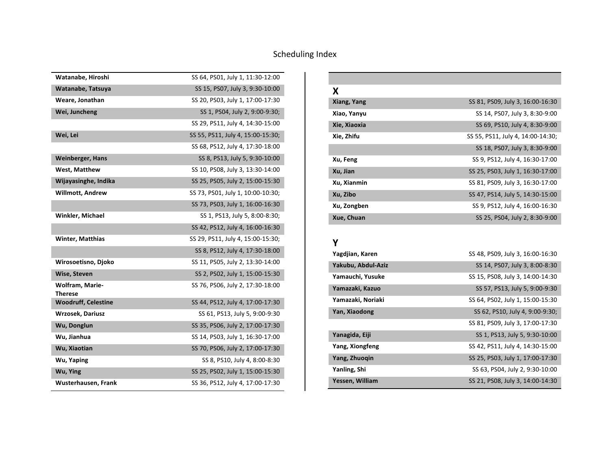| Watanabe, Hiroshi                        | SS 64, PS01, July 1, 11:30-12:00  |
|------------------------------------------|-----------------------------------|
| Watanabe, Tatsuya                        | SS 15, PS07, July 3, 9:30-10:00   |
| Weare, Jonathan                          | SS 20, PS03, July 1, 17:00-17:30  |
| Wei, Juncheng                            | SS 1, PS04, July 2, 9:00-9:30;    |
|                                          | SS 29, PS11, July 4, 14:30-15:00  |
| Wei, Lei                                 | SS 55, PS11, July 4, 15:00-15:30; |
|                                          | SS 68, PS12, July 4, 17:30-18:00  |
| <b>Weinberger, Hans</b>                  | SS 8, PS13, July 5, 9:30-10:00    |
| West, Matthew                            | SS 10, PS08, July 3, 13:30-14:00  |
| Wijayasinghe, Indika                     | SS 25, PS05, July 2, 15:00-15:30  |
| <b>Willmott, Andrew</b>                  | SS 73, PS01, July 1, 10:00-10:30; |
|                                          | SS 73, PS03, July 1, 16:00-16:30  |
| <b>Winkler, Michael</b>                  | SS 1, PS13, July 5, 8:00-8:30;    |
|                                          | SS 42, PS12, July 4, 16:00-16:30  |
| <b>Winter, Matthias</b>                  | SS 29, PS11, July 4, 15:00-15:30; |
|                                          | SS 8, PS12, July 4, 17:30-18:00   |
| Wirosoetisno, Djoko                      | SS 11, PS05, July 2, 13:30-14:00  |
| Wise, Steven                             | SS 2, PS02, July 1, 15:00-15:30   |
| <b>Wolfram, Marie-</b><br><b>Therese</b> | SS 76, PS06, July 2, 17:30-18:00  |
| <b>Woodruff, Celestine</b>               | SS 44, PS12, July 4, 17:00-17:30  |
| Wrzosek, Dariusz                         | SS 61, PS13, July 5, 9:00-9:30    |
| Wu, Donglun                              | SS 35, PS06, July 2, 17:00-17:30  |
| Wu, Jianhua                              | SS 14, PS03, July 1, 16:30-17:00  |
| Wu, Xiaotian                             | SS 70, PS06, July 2, 17:00-17:30  |
| Wu, Yaping                               | SS 8, PS10, July 4, 8:00-8:30     |
| Wu, Ying                                 | SS 25, PS02, July 1, 15:00-15:30  |
| Wusterhausen, Frank                      | SS 36, PS12, July 4, 17:00-17:30  |

| X            |                                   |
|--------------|-----------------------------------|
| Xiang, Yang  | SS 81, PS09, July 3, 16:00-16:30  |
| Xiao, Yanyu  | SS 14, PS07, July 3, 8:30-9:00    |
| Xie, Xiaoxia | SS 69, PS10, July 4, 8:30-9:00    |
| Xie, Zhifu   | SS 55, PS11, July 4, 14:00-14:30; |
|              | SS 18, PS07, July 3, 8:30-9:00    |
| Xu, Feng     | SS 9, PS12, July 4, 16:30-17:00   |
| Xu, Jian     | SS 25, PS03, July 1, 16:30-17:00  |
| Xu, Xianmin  | SS 81, PS09, July 3, 16:30-17:00  |
| Xu, Zibo     | SS 47, PS14, July 5, 14:30-15:00  |
| Xu, Zongben  | SS 9, PS12, July 4, 16:00-16:30   |
| Xue, Chuan   | SS 25, PS04, July 2, 8:30-9:00    |

#### **Y**

| Yagdjian, Karen    | SS 48, PS09, July 3, 16:00-16:30 |
|--------------------|----------------------------------|
| Yakubu, Abdul-Aziz | SS 14, PS07, July 3, 8:00-8:30   |
| Yamauchi, Yusuke   | SS 15, PS08, July 3, 14:00-14:30 |
| Yamazaki, Kazuo    | SS 57, PS13, July 5, 9:00-9:30   |
| Yamazaki, Noriaki  | SS 64, PS02, July 1, 15:00-15:30 |
| Yan, Xiaodong      | SS 62, PS10, July 4, 9:00-9:30;  |
|                    | SS 81, PS09, July 3, 17:00-17:30 |
| Yanagida, Eiji     | SS 1, PS13, July 5, 9:30-10:00   |
| Yang, Xiongfeng    | SS 42, PS11, July 4, 14:30-15:00 |
| Yang, Zhuoqin      | SS 25, PS03, July 1, 17:00-17:30 |
| Yanling, Shi       | SS 63, PS04, July 2, 9:30-10:00  |
| Yessen, William    | SS 21, PS08, July 3, 14:00-14:30 |